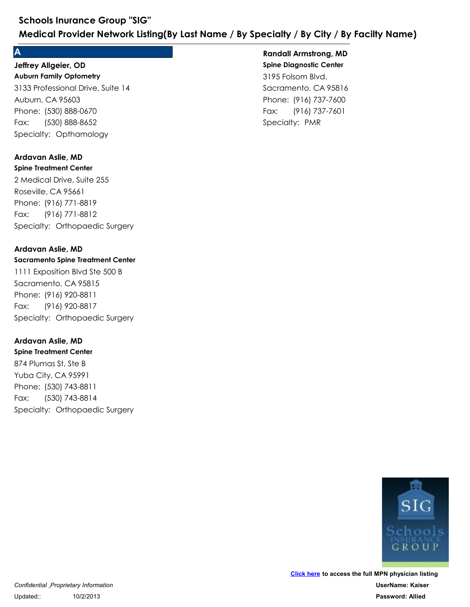#### **A**

#### **Auburn Family Optometry Jeffrey Allgeier, OD**

3133 Professional Drive, Suite 14 Auburn, CA 95603 Schools Inurance Group "SIG"<br>
Medical Provider Network Listing(By London)<br>
A<br>
Jeffrey Allgeier, OD<br>
Auburn Family Optometry<br>
3133 Professional Drive, Suite 14<br>
Auburn, CA 95603<br>
Phone: (530) 888-0670<br>
Fax: (530) 888-8652<br> Schools Inurance Group "SIG"<br>
Medical Provider Network Listing(By<br>
A<br>
Jeffrey Allgeier, OD<br>
Auburn Family Optometry<br>
3133 Professional Drive, Suite 14<br>
Auburn, CA 95603<br>
Phone: (530) 888-0670<br>
Fax: (530) 888-8652<br>
Specialt Fax: (530) 888-8652

#### **Spine Treatment Center Ardavan Aslie, MD**

2 Medical Drive, Suite 255 Roseville, CA 95661 Phone: (530) 888-0670<br>Fax: (530) 888-8652<br>Specialty: Opthamology<br>**Ardavan Aslie, MD**<br>**Spine Treatment Center**<br>2 Medical Drive, Suite 255<br>Roseville, CA 95661<br>Phone: (916) 771-8819<br>Fax: (916) 771-8812<br>Specialty: Orthopaedic 3133 Professional Drive, Suite 14<br>Auburn, CA 95603<br>Phone: (530) 888-0670<br>Fax: (530) 888-8652<br>Specialty: Opthamology<br>**Ardavan Aslie, MD**<br>**Spine Treatment Center**<br>2 Medical Drive, Suite 255<br>Roseville, CA 95661<br>Phone: (916) 7 Fax: (916) 771-8812 2 Medical Drive, Suite 255<br>
Roseville, CA 95661<br>
Phone: (916) 771-8819<br>
Fax: (916) 771-8812<br>
Specialty: Orthopaedic Surgery<br> **Ardavan Aslie, MD**<br> **Sacramento Spine Treatment Center**<br>
1111 Exposition Blvd Ste 500 B<br>
Sacrame

#### **Ardavan Aslie, MD**

#### **Sacramento Spine Treatment Center**

1111 Exposition Blvd Ste 500 B Sacramento, CA 95815 Phone: (916) 771-8819<br>Fax: (916) 771-8812<br>Specialty: Orthopaedic Surgery<br>**Ardavan Aslie, MD**<br>**Sacramento Spine Treatment Center**<br>1111 Exposition Blvd Ste 500 B<br>Sacramento, CA 95815<br>Phone: (916) 920-8811<br>Fax: (916) 920-8817 Fax: (916) 920-8817

#### **Ardavan Aslie, MD**

**Spine Treatment Center** 874 Plumas St, Ste B Yuba City, CA 95991 Phone: (916) 920-8811<br>Fax: (916) 920-8817<br>Specialty: Orthopaedic Surgery<br>**Ardavan Aslie, MD**<br>**Spine Treatment Center**<br>874 Plumas St, Ste B<br>Yuba City, CA 95991<br>Phone: (530) 743-8811<br>Fax: (530) 743-8814<br>Specialty: Orthopaedi 1111 Exposition Blvd Ste 500 B<br>Sacramento, CA 95815<br>Phone: (916) 920-8811<br>Fax: (916) 920-8817<br>Specialty: Orthopaedic Surgery<br>**Ardavan Aslie, MD**<br>**Spine Treatment Center**<br>874 Plumas St, Ste B<br>Yuba City, CA 95991<br>Phone: (530 Fax: (530) 743-8814

## **Spine Diagnostic Center** 3195 Folsom Blvd. Sacramento, CA 95816 **Example 18 Analylis City / By Facilty Name<br>
Randall Armstrong, MD<br>
Spine Diagnostic Center<br>
3195 Folsom Blvd.<br>
Sacramento, CA 95816<br>
Phone: (916) 737-7600<br>
Fax: (916) 737-7601<br>
Specialty: PMR ecialty / By City / By Facilty Name)**<br> **Randall Armstrong, MD<br>
Spine Diagnostic Center**<br>
3195 Folsom Blvd.<br>
Sacramento, CA 95816<br>
Phone: (916) 737-7600<br>
Fax: (916) 737-7601<br>
Specialty: PMR Fax: (916) 737-7601 **Randall Armstrong, MD**

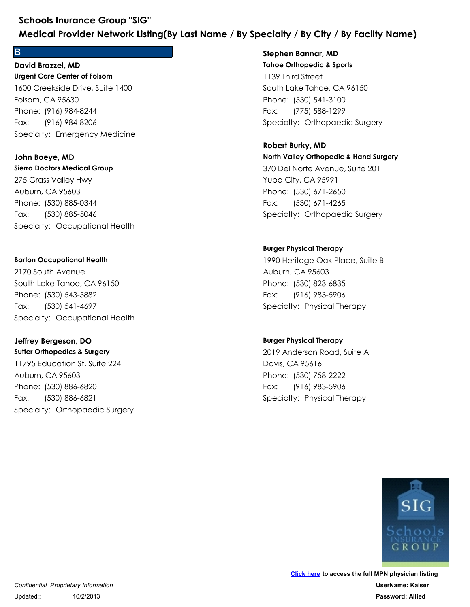#### **B B B B B B**

**Urgent Care Center of Folsom** 1600 Creekside Drive, Suite 1400 Folsom, CA 95630 Schools Inurance Group "SIG"<br>
Medical Provider Network Listing(By Last Name<br>
B<br>
David Brazzel, MD<br>
Urgent Care Center of Folsom<br>
1600 Creekside Drive, Suite 1400<br>
Folsom, CA 95630<br>
Phone: (916) 984-8244<br>
Fax: (916) 984-820 Schools Inurance Group "SIG"<br>
Medical Provider Network Listing(By<br>
B<br>
David Brazzel, MD<br>
Urgent Care Center of Folsom<br>
1600 Creekside Drive, Suite 1400<br>
Folsom, CA 95630<br>
Phone: (916) 984-8244<br>
Fax: (916) 984-8206<br>
Special Fax: (916) 984-8206 **David Brazzel, MD** 1600 Creekside Drive, Suite 1400<br>Folsom, CA 95630<br>Phone: (916) 984-8244<br>Fax: (916) 984-8206<br>Specialty: Emergency Medicine<br>**John Boeye, MD**<br>**John Boeye, MD**<br>275 Grass Valley Hwy<br>Auburn, CA 95603<br>Phone: (530) 885-0344<br>Fax: (

#### **Sierra Doctors Medical Group John Boeye, MD**

275 Grass Valley Hwy Auburn, CA 95603 Phone: (916) 984-8244<br>Fax: (916) 984-8206<br>Specialty: Emergency Medicine<br>John Boeye, MD<br>John Boeye, MD<br>Sierra Doctors Medical Group<br>275 Grass Valley Hwy<br>Auburn, CA 95603<br>Phone: (530) 885-0344<br>Fax: (530) 885-5046<br>Specialty: Fax: (530) 885-5046 275 Grass Valley Hwy<br>Auburn, CA 95603<br>Phone: (530) 885-0344<br>Fax: (530) 885-5046<br>Specialty: Occupational Health<br>**Barton Occupational Health**<br>2170 South Avenue<br>South Lake Tahoe, CA 96150<br>Phone: (530) 543-5882<br>Fax: (530) 541-

#### **Barton Occupational Health**

2170 South Avenue South Lake Tahoe, CA 96150 Phone: (530) 885-0344<br>Fax: (530) 885-5046<br>Specialty: Occupational Health<br>**Barton Occupational Health**<br>2170 South Avenue<br>South Lake Tahoe, CA 96150<br>Phone: (530) 543-5882<br>Fax: (530) 541-4697<br>Specialty: Occupational Health<br>**J** Fax: (530) 541-4697

## **Jeffrey Bergeson, DO**

**Sutter Orthopedics & Surgery** 11795 Education St, Suite 224 Auburn, CA 95603 Phone: (530) 543-5882<br>Fax: (530) 541-4697<br>Specialty: Occupational Health<br>**Jeffrey Bergeson, DO**<br>**Surler Orthopedics & Surgery**<br>11795 Education St, Suite 224<br>Auburn, CA 95603<br>Phone: (530) 886-6820<br>Fax: (530) 886-6821<br>Specia 2170 South Avenue<br>
South Lake Tahoe, CA 96150<br>
Phone: (530) 543-5882<br>
Fax: (530) 541-4697<br>
Specialty: Occupational Health<br> **Jeffrey Bergeson, DO**<br> **Sutter Orthopedics & Surgery**<br>
11795 Education St, Suite 224<br>
Auburn, CA 9 Fax: (530) 886-6821

#### **Tahoe Orthopedic & Sports Stephen Bannar, MD**

1139 Third Street South Lake Tahoe, CA 96150 **Ecialty / By City / By Facilty Name)**<br> **Stephen Bannar, MD**<br> **Tahoe Orthopedic & Sports**<br>
1139 Third Street<br>
South Lake Tahoe, CA 96150<br>
Phone: (530) 541-3100<br>
Fax: (775) 588-1299<br>
Specialty: Orthopaedic Surgery<br>
Robert B **ecialty / By City / By Facilty Name)**<br> **Stephen Bannar, MD**<br> **Tahoe Orthopedic & Sports**<br>
1139 Third Street<br>
South Lake Tahoe, CA 96150<br>
Phone: (530) 541-3100<br>
Fax: (775) 588-1299<br>
Specialty: Orthopaedic Surgery Fax: (775) 588-1299

# **North Valley Orthopedic & Hand Surgery** 370 Del Norte Avenue, Suite 201 Yuba City, CA 95991 Phone: (530) 541-3100<br>Fax: (775) 588-1299<br>Specialty: Orthopaedic Surgery<br>**Robert Burky, MD**<br>**Robert Burky, MD**<br>**North Valley Orthopedic & Hand Surgery**<br>370 Del Norte Avenue, Suite 201<br>Yuba City, CA 95991<br>Phone: (530) 671-2 1139 Third Street<br>
South Lake Tahoe, CA 96150<br>
Phone: (530) 541-3100<br>
Fax: (775) 588-1299<br>
Specialty: Orthopaedic Surgery<br> **Robert Burky, MD**<br> **North Valley Orthopedic & Hand Surgery**<br>
370 Del Norte Avenue, Suite 201<br>
Yuba Fax: (530) 671-4265 **Robert Burky, MD** 370 Del Norte Avenue, Suite 201<br>Yuba City, CA 95991<br>Phone: (530) 671-2650<br>Fax: (530) 671-4265<br>Specialty: Orthopaedic Surgery<br>**Burger Physical Therapy**<br>1990 Heritage Oak Place, Suite B<br>Auburn, CA 95603<br>Phone: (530) 823-6835

#### **Burger Physical Therapy**

1990 Heritage Oak Place, Suite B Auburn, CA 95603 Phone: (530) 671-2650<br>Fax: (530) 671-265<br>Specialty: Orthopaedic Surgery<br>Burger Physical Therapy<br>1990 Heritage Oak Place, Suite B<br>Auburn, CA 95603<br>Phone: (530) 823-6835<br>Fax: (916) 983-5906<br>Specialty: Physical Therapy Fax: (916) 983-5906 1990 Heritage Oak Place, Suite B<br>Auburn, CA 95603<br>Phone: (530) 823-6835<br>Fax: (916) 983-5906<br>Specialty: Physical Therapy<br>Burger Physical Therapy<br>2019 Anderson Road, Suite A<br>Davis, CA 95616<br>Phone: (530) 758-2222<br>Fax: (916) 9

#### **Burger Physical Therapy**

2019 Anderson Road, Suite A Davis, CA 95616 Phone: (530) 823-6835<br>Fax: (916) 983-5906<br>Specialty: Physical Therapy<br>**Burger Physical Therapy**<br>2019 Anderson Road, Suite A<br>Davis, CA 95616<br>Phone: (530) 758-2222<br>Fax: (916) 983-5906<br>Specialty: Physical Therapy Fax: (916) 983-5906

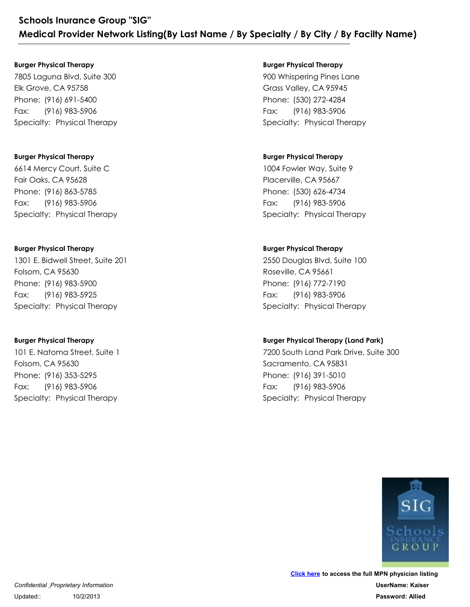#### **Burger Physical Therapy**

7805 Laguna Blvd, Suite 300 Elk Grove, CA 95758 Schools Inurance Group "SIG"<br>
Medical Provider Network Listing(By Last<br>
Burger Physical Therapy<br>
7805 Laguna Blvd, Suite 300<br>Elk Grove, CA 95758<br>
Phone: (916) 691-5400<br>
Fax: (916) 983-5906<br>
Specialty: Physical Therapy Schools Inurance Group "SIG"<br>
Medical Provider Network Listing(By<br>
Burger Physical Therapy<br>
7805 Laguna Blvd, Suite 300<br>Elk Grove, CA 95758<br>
Phone: (916) 691-5400<br>
Fax: (916) 983-5906<br>
Specialty: Physical Therapy Fax: (916) 983-5906 7805 Laguna Blvd, Suite 300<br>Elk Grove, CA 95758<br>Phone: (916) 691-5400<br>Fax: (916) 983-5906<br>Specialty: Physical Therapy<br>**Burger Physical Therapy**<br>6614 Mercy Court, Suite C<br>Fair Oaks, CA 95628<br>Phone: (916) 863-5785<br>Fax: (916)

#### **Burger Physical Therapy**

6614 Mercy Court, Suite C Fair Oaks, CA 95628 Phone: (916) 691-5400<br>Fax: (916) 983-5906<br>Specialty: Physical Therapy<br>Burger Physical Therapy<br>6614 Mercy Court, Suite C<br>Fair Oaks, CA 95628<br>Phone: (916) 863-5785<br>Fax: (916) 983-5906<br>Specialty: Physical Therapy Fax: (916) 983-5906

#### **Burger Physical Therapy**

1301 E. Bidwell Street, Suite 201 Folsom, CA 95630 Phone: (916) 863-5785<br>Fax: (916) 983-5906<br>Specialty: Physical Therapy<br>Burger Physical Therapy<br>1301 E. Bidwell Street, Suite 201<br>Folsom, CA 95630<br>Phone: (916) 983-5900<br>Fax: (916) 983-5925<br>Specialty: Physical Therapy 614 Mercy Court, Suite C<br>
Fair Oaks, CA 95628<br>
Phone: (916) 863-5785<br>
Fax: (916) 983-5906<br>
Specialty: Physical Therapy<br> **Burger Physical Therapy**<br>
1301 E. Bidwell Street, Suite 201<br>
Folsom, CA 95630<br>
Phone: (916) 983-5900<br> Fax: (916) 983-5925 1301 E. Bidwell Street, Suite 201<br>Folsom, CA 95630<br>Phone: (916) 983-5900<br>Fax: (916) 983-5925<br>Specialty: Physical Therapy<br>**Burger Physical Therapy**<br>101 E. Natoma Street, Suite 1<br>Folsom, CA 95630<br>Phone: (916) 353-5295<br>Fax: (

#### **Burger Physical Therapy**

101 E. Natoma Street, Suite 1 Folsom, CA 95630 Phone: (916) 983-5900<br>Fax: (916) 983-5925<br>Specialty: Physical Therapy<br>**Burger Physical Therapy**<br>**Burger Physical Therapy**<br>101 E. Natoma Street, Suite 1<br>Folsom, CA 95630<br>Phone: (916) 353-5295<br>Fax: (916) 983-5906<br>Specialty: Fax: (916) 983-5906

#### **Burger Physical Therapy**

900 Whispering Pines Lane Grass Valley, CA 95945 **Ecialty / By City / By Facilty Name)**<br> **Burger Physical Therapy**<br>
900 Whispering Pines Lane<br>
Grass Valley, CA 95945<br>
Phone: (530) 272-4284<br>
Fax: (916) 983-5906<br>
Specialty: Physical Therapy **ecialty / By City / By Facilty Name)**<br> **Burger Physical Therapy**<br>
900 Whispering Pines Lane<br>
Grass Valley, CA 95945<br>
Phone: (530) 272-4284<br>
Fax: (916) 983-5906<br>
Specialty: Physical Therapy Fax: (916) 983-5906

#### **Burger Physical Therapy**

1004 Fowler Way, Suite 9 Placerville, CA 95667 Phone: (530) 272-4284<br>Fax: (916) 983-5906<br>Specialty: Physical Therapy<br>Burger Physical Therapy<br>1004 Fowler Way, Suite 9<br>Placerville, CA 95667<br>Phone: (530) 626-4734<br>Fax: (916) 983-5906<br>Specialty: Physical Therapy 900 Whispering Pines Lane<br>Grass Valley, CA 95945<br>Phone: (530) 272-4284<br>Fax: (916) 983-5906<br>Specialty: Physical Therapy<br>**Burger Physical Therapy**<br>1004 Fowler Way, Suite 9<br>Placerville, CA 95667<br>Phone: (530) 626-4734<br>Fax: (91 Fax: (916) 983-5906

#### **Burger Physical Therapy**

2550 Douglas Blvd, Suite 100 Roseville, CA 95661 Phone: (530) 626-4734<br>Fax: (916) 983-5906<br>Specialty: Physical Therapy<br>Burger Physical Therapy<br>2550 Douglas Blvd, Suite 100<br>Roseville, CA 95661<br>Phone: (916) 772-7190<br>Fax: (916) 983-5906<br>Specialty: Physical Therapy 1004 Fowler Way, Suite 9<br>Placerville, CA 95667<br>Phone: (530) 626-4734<br>Fax: (916) 983-5906<br>Specialty: Physical Therapy<br>**Burger Physical Therapy**<br>2550 Douglas Blvd, Suite 100<br>Roseville, CA 95661<br>Phone: (916) 772-7190<br>Fax: (91 Fax: (916) 983-5906

#### **Burger Physical Therapy (Land Park)**

7200 South Land Park Drive, Suite 300 Sacramento, CA 95831 Phone: (916) 772-7190<br>Fax: (916) 983-5906<br>Specialty: Physical Therapy<br>**Specialty: Physical Therapy**<br>**Burger Physical Therapy (Land Park)**<br>7200 South Land Park Drive, Suite 300<br>Sacramento, CA 95831<br>Phone: (916) 391-5010<br>Fax 2550 Douglas Blvd, Suite 100<br>Roseville, CA 95661<br>Phone: (916) 772-7190<br>Fax: (916) 983-5906<br>Specialty: Physical Therapy<br>**Burger Physical Therapy (Land Park)**<br>7200 South Land Park Drive, Suite 300<br>Sacramento, CA 95831<br>Phone: Fax: (916) 983-5906

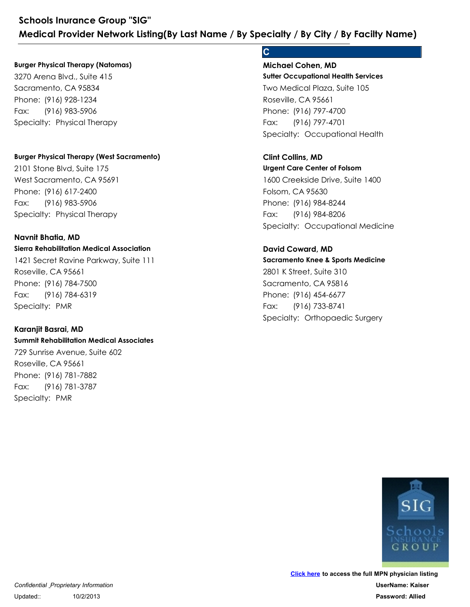#### **Burger Physical Therapy (Natomas)**

3270 Arena Blvd., Suite 415 Sacramento, CA 95834 Schools Inurance Group "SIG"<br>
Medical Provider Network Listing(By Last<br>
Burger Physical Therapy (Natomas)<br>
3270 Arena Blvd., Suite 415<br>
Sacramento, CA 95834<br>
Phone: (916) 928-1234<br>
Fax: (916) 983-5906<br>
Specialty: Physical Schools Inurance Group "SIG"<br>
Medical Provider Network Listing(By<br>
Burger Physical Therapy (Natomas)<br>
3270 Arena Blvd., Suite 415<br>
Sacramento, CA 95834<br>
Phone: (916) 928-1234<br>
Fax: (916) 983-5906<br>
Specialty: Physical Thera Fax: (916) 983-5906

#### **Burger Physical Therapy (West Sacramento)**

2101 Stone Blvd, Suite 175 West Sacramento, CA 95691 Phone: (916) 928-1234<br>Fax: (916) 983-5906<br>Specialty: Physical Therapy<br>Burger Physical Therapy (West Sacramento)<br>2101 Stone Blvd, Suite 175<br>West Sacramento, CA 95691<br>Phone: (916) 617-2400<br>Fax: (916) 983-5906<br>Specialty: Phys 3270 Arena Blvd., Suite 415<br>
Sacramento, CA 95834<br>
Phone: (916) 928-1234<br>
Fax: (916) 983-5906<br>
Specialty: Physical Therapy<br> **Burger Physical Therapy (West Sacramento)**<br>
2101 Stone Blvd, Suite 175<br>
West Sacramento, CA 95691 Fax: (916) 983-5906

#### **Navnit Bhatia, MD**

#### **Sierra Rehabilitation Medical Association**

1421 Secret Ravine Parkway, Suite 111 Roseville, CA 95661 Phone: (916) 617-2400<br>Fax: (916) 983-5906<br>Specialty: Physical Therapy<br>**Navnit Bhatia, MD**<br>**Navnit Bhatia, MD**<br>**Sierra Rehabilitation Medical Association**<br>1421 Secret Ravine Parkway, Suite 111<br>Roseville, CA 95661<br>Phone: (91 2101 Stone Blvd, Suite 175<br>
West Sacramento, CA 95691<br>
Phone: (916) 617-2400<br>
Fax: (916) 983-5906<br>
Specialty: Physical Therapy<br> **Navnit Bhatia, MD**<br> **Sierra Rehabilitation Medical Association**<br>
1421 Secret Ravine Parkway, Fax: (916) 784-6319 1421 Secret Ravine Parkway, Suite 111<br>Roseville, CA 95661<br>Phone: (916) 784-7500<br>Fax: (916) 784-6319<br>Specialty: PMR<br>**Karanjit Basrai, MD**<br>**Summit Rehabilitation Medical Associates**<br>729 Sunrise Avenue, Suite 602<br>Roseville, C

#### **Karanjit Basrai, MD**

#### **Summit Rehabilitation Medical Associates**

729 Sunrise Avenue, Suite 602 Roseville, CA 95661 Phone: (916) 784-7500<br>Phone: (916) 784-6319<br>Specialty: PMR<br>**Karanjit Basrai, MD**<br>**Summit Rehabilitation Medical Associates**<br>729 Sunrise Avenue, Suite 602<br>Roseville, CA 95661<br>Phone: (916) 781-7882<br>Fax: (916) 781-3787<br>Specia Fax: (916) 781-3787

## **C C C C C C**

**Sutter Occupational Health Services** Two Medical Plaza, Suite 105 Roseville, CA 95661 ecialty: / By City: / By Facilty Name)<br>
C<br>
Michael Cohen, MD<br>
Sutter Occupational Health Services<br>
Two Medical Plaza, Suite 105<br>
Roseville, CA 95661<br>
Phone: (916) 797-4700<br>
Fax: (916) 797-4701<br>Specialty: Occupational Healt **ecialty / By City / By Facilty Name)<br>
C<br>
Michael Cohen, MD<br>
Sutter Occupational Health Services<br>
Two Medical Plaza, Suite 105<br>
Roseville, CA 95661<br>
Phone: (916) 797-4700<br>Fax: (916) 797-4701<br>
Specialty: Occupational** Fax: (916) 797-4701 **Michael Cohen, MD** Two Medical Plaza, Suite 105<br>Roseville, CA 95661<br>Phone: (916) 797-4700<br>Fax: (916) 797-4701<br>Specialty: Occupational Health<br>**Clint Collins, MD**<br>**Urgent Care Center of Folsom**<br>1600 Creekside Drive, Suite 1400<br>Folsom, CA 95630

## **Urgent Care Center of Folsom** 1600 Creekside Drive, Suite 1400 Folsom, CA 95630 Phone: (916) 797-4700<br>Fax: (916) 797-4701<br>Specialty: Occupational Health<br>**Clint Collins, MD**<br>**Urgent Care Center of Folsom**<br>1600 Creekside Drive, Suite 1400<br>Folsom, CA 95630<br>Phone: (916) 984-8244<br>Fax: (916) 984-8206<br>Specia Fax: (916) 984-8206 **Clint Collins, MD**

#### **David Coward, MD**

**Sacramento Knee & Sports Medicine** 2801 K Street, Suite 310 Sacramento, CA 95816 Phone: (916) 984-8244<br>Fax: (916) 984-8206<br>Specialty: Occupational Medicine<br>**David Coward, MD**<br>**Sacramento Knee & Sports Medicine**<br>2801 K Street, Suite 310<br>Sacramento, CA 95816<br>Phone: (916) 454-6677<br>Fax: (916) 733-8741<br>Spec 1600 Creekside Drive, Suite 1400<br>Folsom, CA 95630<br>Phone: (916) 984-8244<br>Fax: (916) 984-8206<br>Specialty: Occupational Medicine<br>**David Coward, MD**<br>**Sacramento Knee & Sports Medicine**<br>2801 K Street, Suite 310<br>Sacramento, CA 95 Fax: (916) 733-8741

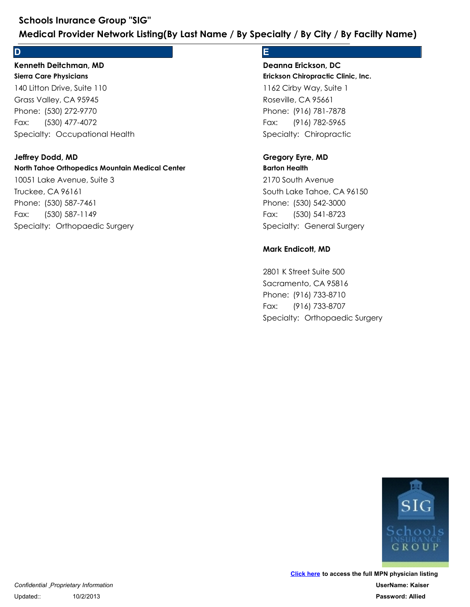#### **D**

#### **Sierra Care Physicians Kenneth Deitchman, MD**

140 Litton Drive, Suite 110 Grass Valley, CA 95945 Schools Inurance Group "SIG"<br>
Medical Provider Network Listing(By Last Name<br>
D<br>
Kenneth Deitchman, MD<br>
Sierra Care Physicians<br>
140 Litton Drive, Suite 110<br>
Grass Valley, CA 95945<br>
Phone: (530) 272-9770<br>
Fax: (530) 477-4072 Schools Inurance Group "SIG"<br>
Medical Provider Network Listing(By<br>
D<br>
Kenneth Deitchman, MD<br>
Sierra Care Physicians<br>
140 Litton Drive, Suite 110<br>
Grass Valley, CA 95945<br>
Phone: (530) 272-9770<br>
Fax: (530) 477-4072<br>
Specialt Fax: (530) 477-4072

#### **Jeffrey Dodd, MD**

#### **North Tahoe Orthopedics Mountain Medical Center**

10051 Lake Avenue, Suite 3 Truckee, CA 96161 Phone: (530) 272-9770<br>Fax: (530) 477-4072<br>Specialty: Occupational Health<br>**Jeffrey Dodd, MD**<br>**North Tahoe Orthopedics Mountain Medical Center**<br>10051 Lake Avenue, Suite 3<br>Truckee, CA 96161<br>Phone: (530) 587-7461<br>Fax: (530) 58 140 Litton Drive, Suite 110<br>Grass Valley, CA 95945<br>Phone: (530) 272-9770<br>Fax: (530) 477-4072<br>Specialty: Occupational Health<br>**Jeffrey Dodd, MD**<br>**North Tahoe Orthopedics Mountain Medical Cent**<br>10051 Lake Avenue, Suite 3<br>Truc Fax: (530) 587-1149

### **E**

**Erickson Chiropractic Clinic, Inc.** 1162 Cirby Way, Suite 1 Roseville, CA 95661 **Example 18 Specify / By Facilty Name)**<br> **E**<br> **Deanna Erickson, DC<br>
<b>Erickson Chiropractic Clinic, Inc.**<br>
1162 Cirby Way, Suite 1<br>
Roseville, CA 95661<br>
Phone: (916) 781-7878<br>
Fax: (916) 782-5965<br>
Specialty: Chiropractic<br>
G **Example 1815 7 Americal Sciliff Sciliff Sciliff Sciliff Sciliff Sciliff Sciliff Sciliff Sciliff Sciliff Sciliff Sciliff Sciliff Sciliff Phone: (916) 781-7878<br>Frickson Chiropractic Clinic, Inc.<br>Roseville, CA 95661<br>Phone: (** Fax: (916) 782-5965 **Deanna Erickson, DC** 1162 Cirby Way, Suite 1<br>
Roseville, CA 95661<br>
Phone: (916) 781-7878<br>
Fax: (916) 782-5965<br>
Specialty: Chiropractic<br> **Gregory Eyre, MD**<br> **Barton Health**<br>
2170 South Avenue<br>
South Lake Tahoe, CA 96150<br>
Phone: (530) 542-3000<br>

#### **Barton Health Gregory Eyre, MD**

2170 South Avenue South Lake Tahoe, CA 96150 Phone: (916) 781-7878<br>Fax: (916) 782-5965<br>Specialty: Chiropractic<br>**Gregory Eyre, MD**<br>Barton Health<br>2170 South Avenue<br>South Lake Tahoe, CA 96150<br>Phone: (530) 542-3000<br>Fax: (530) 541-8723<br>Specialty: General Surgery<br>**Mark End** Fax: (530) 541-8723

#### **Mark Endicott, MD**

2801 K Street Suite 500 Sacramento, CA 95816 Phone: (530) 542-3000<br>Fax: (530) 541-8723<br>Specialty: General Surgery<br>**Mark Endicott, MD**<br>2801 K Street Suite 500<br>Sacramento, CA 95816<br>Phone: (916) 733-8710<br>Fax: (916) 733-8707<br>Specialty: Orthopaedic Surgery 2170 South Avenue<br>
South Lake Tahoe, CA 96150<br>
Phone: (530) 542-3000<br>
Fax: (530) 541-8723<br>
Specialty: General Surgery<br> **Mark Endicott, MD**<br>
2801 K Street Suite 500<br>
Sacramento, CA 95816<br>
Phone: (916) 733-8710<br>
Fax: (916) 7 Fax: (916) 733-8707

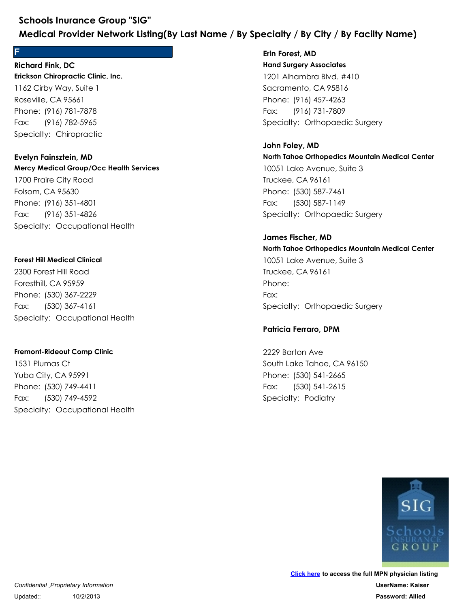#### **F Richard Fink, DC**

**Erickson Chiropractic Clinic, Inc.** 1162 Cirby Way, Suite 1 Roseville, CA 95661 Schools Inurance Group "SIG"<br>
Medical Provider Network Listing(By Last<br>
F<br>
Richard Fink, DC<br>
Erickson Chiropractic Clinic, Inc.<br>
1162 Cirby Way, Suite 1<br>
Roseville, CA 95661<br>
Phone: (916) 781-7878<br>
Fax: (916) 782-5965<br>
Spe Schools Inurance Group "SIG"<br>
Medical Provider Network Listing(By<br>
F<br>
Richard Fink, DC<br>
Erickson Chiropractic Clinic, Inc.<br>
1162 Cirby Way, Suite 1<br>
Roseville, CA 95661<br>
Phone: (916) 781-7878<br>
Fax: (916) 782-5965<br>
Specialt Fax: (916) 782-5965

# **Mercy Medical Group/Occ Health Services** 1700 Praire City Road Folsom, CA 95630 Phone: (916) 781-7878<br>Fax: (916) 782-5965<br>Specialty: Chiropractic<br>**Evelyn Fainsztein, MD**<br>**Mercy Medical Group/Occ Health Services**<br>1700 Praire City Road<br>Folsom, CA 95630<br>Phone: (916) 351-4826<br>Fax: (916) 351-4826<br>Specialty 1162 Cirby Way, Suite 1<br>Roseville, CA 95661<br>Phone: (916) 781-7878<br>Fax: (916) 782-5965<br>Specialty: Chiropractic<br>**Evelyn Fainsztein, MD**<br>**Mercy Medical Group/Occ Health Services**<br>1700 Praire City Road<br>Folsom, CA 95630<br>Phone: Fax: (916) 351-4826 **Evelyn Fainsztein, MD** 1700 Praire City Road<br>Folsom, CA 95630<br>Phone: (916) 351-4801<br>Fax: (916) 351-4826<br>Specialty: Occupational Health<br>Forest Hill Medical Clinical<br>2300 Forest Hill Road<br>Foresthill, CA 95959<br>Phone: (530) 367-2229<br>Fax: (530) 367-4

#### **Forest Hill Medical Clinical**

2300 Forest Hill Road Foresthill, CA 95959 Phone: (916) 351-4801<br>Fax: (916) 351-4826<br>Specialty: Occupational Health<br>**Forest Hill Medical Clinical**<br>2300 Forest Hill Road<br>Foresthill, CA 95959<br>Phone: (530) 367-2229<br>Fax: (530) 367-4161<br>Specialty: Occupational Health Fax: (530) 367-4161 2300 Forest Hill Road<br>Foresthill, CA 95959<br>Phone: (530) 367-2229<br>Fax: (530) 367-4161<br>Specialty: Occupational Health<br>Fremont-Rideout Comp Clinic<br>1531 Plumas Ct<br>Yuba City, CA 95991<br>Phone: (530) 749-4411<br>Fax: (530) 749-4592<br>S

#### **Fremont-Rideout Comp Clinic**

1531 Plumas Ct Yuba City, CA 95991 Phone: (530) 367-2229<br>Fax: (530) 367-4161<br>Specialty: Occupational Health<br>Fremont-Rideout Comp Clinic<br>1531 Plumas Ct<br>Yuba City, CA 95991<br>Phone: (530) 749-4411<br>Fax: (530) 749-4592<br>Specialty: Occupational Health Fax: (530) 749-4592

**Hand Surgery Associates** 1201 Alhambra Blvd. #410 Sacramento, CA 95816 **ecialty / By City / By Facilty Name)**<br> **Erin Forest, MD**<br> **Hand Surgery Associates**<br>
1201 Alhambra Blvd. #410<br>
Sacramento, CA 95816<br>
Phone: (916) 457-4263<br>
Fax: (916) 731-7809<br>
Specialty: Orthopaedic Surgery<br> **John Foley, ecialty / By City / By Facilty Name)**<br> **Erin Forest, MD**<br> **Hand Surgery Associates**<br>
1201 Alhambra Blvd. #410<br>
Sacramento, CA 95816<br>
Phone: (916) 457-4263<br>
Fax: (916) 731-7809<br>
Specialty: Orthopaedic Surgery Fax: (916) 731-7809 **Erin Forest, MD**

**North Tahoe Orthopedics Mountain Medical Center** 10051 Lake Avenue, Suite 3 Truckee, CA 96161 Phone: (916) 457-4263<br>Fax: (916) 731-7809<br>Specialty: Orthopaedic Surgery<br>**John Foley, MD**<br>**North Tahoe Orthopedics Mountain Medical Center**<br>10051 Lake Avenue, Suite 3<br>Truckee, CA 96161<br>Phone: (530) 587-7461<br>Fax: (530) 587-1201 Alhambra Blvd. #410<br>Sacramento, CA 95816<br>Phone: (916) 457-4263<br>Fax: (916) 731-7809<br>Specialty: Orthopaedic Surgery<br>**John Foley, MD**<br>**North Tahoe Orthopedics Mountain Medical Cent**<br>10051 Lake Avenue, Suite 3<br>Truckee, CA Fax: (530) 587-1149 **John Foley, MD**

## **North Tahoe Orthopedics Mountain Medical Center** 10051 Lake Avenue, Suite 3 Truckee, CA 96161 Phone: (530) 587-7461<br>Fax: (530) 587-1149<br>Specialty: Orthopaedic Surgery<br>**James Fischer, MD**<br>**North Tahoe Orthopedics Mountain Medical Center**<br>10051 Lake Avenue, Suite 3<br>Truckee, CA 96161<br>Phone:<br>Fax:<br>Specialty: Orthopaedic Phone: Fax: **James Fischer, MD** Phone:<br>Fax:<br>Specialty: Orthopaedic Surgery<br>**Patricia Ferraro, DPM**<br>2229 Barton Ave<br>South Lake Tahoe, CA 96150<br>Phone: (530) 541-2665<br>Fax: (530) 541-2615<br>Specialty: Podiatry 10051 Lake Avenue, Suite 3<br>Truckee, CA 96161<br>Phone:<br>Fax:<br>Specialty: Orthopaedic Surgery<br>**Patricia Ferraro, DPM**<br>2229 Barton Ave<br>South Lake Tahoe, CA 96150<br>Phone: (530) 541-2665<br>Fax: (530) 541-2665<br>Specialty: Podiatry

#### **Patricia Ferraro, DPM**

2229 Barton Ave South Lake Tahoe, CA 96150 Fax: (530) 541-2615

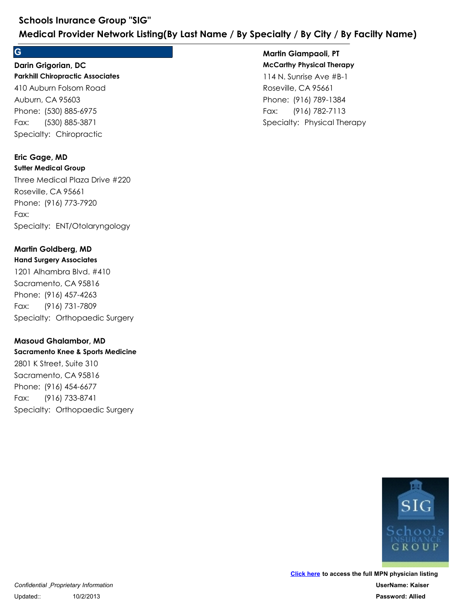#### **G**

## **Parkhill Chiropractic Associates** 410 Auburn Folsom Road Auburn, CA 95603 Schools Inurance Group "SIG"<br>
Medical Provider Network Listing(By Last<br>
G<br>
Darin Grigorian, DC<br>
Parkhill Chiropractic Associates<br>
410 Auburn Folsom Road<br>
Auburn, CA 95603<br>
Phone: (530) 885-6975<br>
Fax: (530) 885-3871<br>
Specia Schools Inurance Group "SIG"<br>
Medical Provider Network Listing(By<br>
G<br>
Darin Grigorian, DC<br>
Parkhill Chiropractic Associates<br>
410 Auburn Folsom Road<br>
Auburn, CA 95603<br>
Phone: (530) 885-6975<br>
Fax: (530) 885-3871<br>
Specialty: Fax: (530) 885-3871 **Darin Grigorian, DC**

## **Eric Gage, MD**

**Sutter Medical Group** Three Medical Plaza Drive #220 Roseville, CA 95661 Phone: (530) 885-6975<br>Fax: (530) 885-3871<br>Specialty: Chiropractic<br>**Eric Gage, MD**<br>Sutter Medical Group<br>Three Medical Plaza Drive #220<br>Roseville, CA 95661<br>Phone: (916) 773-7920<br>Fax:<br>Specialty: ENT/Otolaryngology<br>**Martin Gol** 410 Auburn Folsom Road<br>Auburn, CA 95603<br>Phone: (530) 885-6975<br>Fax: (530) 885-3871<br>Specialty: Chiropractic<br>**Eric Gage, MD<br>Sutter Medical Group**<br>Three Medical Plaza Drive #220<br>Roseville, CA 95661<br>Phone: (916) 773-7920<br>Fax:<br>S Fax: Three Medical Plaza Drive #220<br>Roseville, CA 95661<br>Phone: (916) 773-7920<br>Fax:<br>Specialty: ENT/Otolaryngology<br>**Martin Goldberg, MD<br>Hand Surgey Associates**<br>1201 Alhambra Blvd. #410<br>Sacramento, CA 95816<br>Phone: (916) 457-4263<br>F

### **Martin Goldberg, MD**

#### **Hand Surgery Associates**

1201 Alhambra Blvd. #410 Sacramento, CA 95816 Phone: (916) 773-7920<br>Fax:<br>Specialty: ENT/Otolaryngology<br>**Martin Goldberg, MD**<br>**Hand Surgery Associates**<br>1201 Alhambra Blvd. #410<br>Sacramento, CA 95816<br>Phone: (916) 457-4263<br>Fax: (916) 731-7809<br>Specialty: Orthopaedic Surger Fax: (916) 731-7809

#### **Masoud Ghalambor, MD**

**Sacramento Knee & Sports Medicine** 2801 K Street, Suite 310 Sacramento, CA 95816 Phone: (916) 457-4263<br>Fax: (916) 731-7809<br>Specialty: Orthopaedic Surgery<br>**Masoud Ghalambor, MD**<br>**Sacramento Knee & Sports Medicine**<br>2801 K Street, Suite 310<br>Sacramento, CA 95816<br>Phone: (916) 454-6677<br>Fax: (916) 733-8741<br>Sp 1201 Alhambra Blvd. #410<br>Sacramento, CA 95816<br>Phone: (916) 457-4263<br>Fax: (916) 731-7809<br>Specialty: Orthopaedic Surgery<br>**Masoud Ghalambor, MD**<br>**Sacramento Knee & Sports Medicine**<br>2801 K Street, Suite 310<br>Sacramento, CA 9581 Fax: (916) 733-8741

## **Martin Giampaoli, PT**

**McCarthy Physical Therapy** 114 N. Sunrise Ave #B-1 Roseville, CA 95661 **Example 18 Specialty / By City / By Facilty Name)**<br> **Martin Giampaoli, PT**<br> **McCarthy Physical Therapy**<br>
114 N. Sunrise Ave #B-1<br>
Roseville, CA 95661<br>
Phone: (916) 789-1384<br>
Fax: (916) 782-7113<br>
Specialty: Physical Therap **ecialty / By City / By Facilty Name)**<br> **Martin Giampaoli, PT**<br> **McCarthy Physical Therapy**<br>
114 N. Sunrise Ave #B-1<br>
Roseville, CA 95661<br>
Phone: (916) 789-1384<br>
Fax: (916) 782-7113<br>
Specialty: Physical Therapy Fax: (916) 782-7113

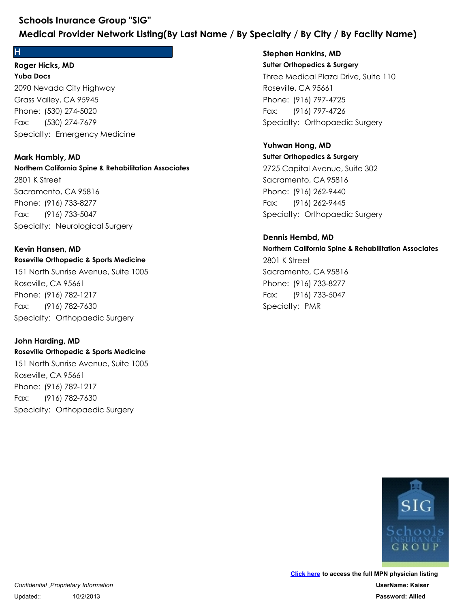#### **H**

**Yuba Docs** 2090 Nevada City Highway Grass Valley, CA 95945 Schools Inurance Group "SIG"<br>
Medical Provider Network Listing(By Last Name<br>
H<br>
Roger Hicks, MD<br>
Yuba Docs<br>
2090 Nevada City Highway<br>
Grass Valley, CA 95945<br>
Phone: (530) 274-5020<br>
Fax: (530) 274-7679<br>
Specialty: Emergency Schools Inurance Group "SIG"<br>
Medical Provider Network Listing(By<br>
Proper Hicks, MD<br>
Yuba Docs<br>
2090 Nevada City Highway<br>
Grass Valley, CA 95945<br>
Phone: (530) 274-5020<br>
Fax: (530) 274-7679<br>
Specialty: Emergency Medicine Fax: (530) 274-7679 **Roger Hicks, MD**

#### **Mark Hambly, MD**

**Northern California Spine & Rehabilitation Associates** 2801 K Street Sacramento, CA 95816 Phone: (530) 274-5020<br>Fax: (530) 274-7679<br>Specialty: Emergency Medicine<br>**Mark Hambly, MD**<br>**Northern California Spine & Rehabilitation Associates**<br>2801 K Street<br>Sacramento, CA 95816<br>Phone: (916) 733-8277<br>Fax: (916) 733-5047 2090 Nevada City Highway<br>Grass Valley, CA 95945<br>Phone: (530) 274-5020<br>Fax: (530) 274-7679<br>Specialty: Emergency Medicine<br>**Mark Hambly, MD**<br>**Northern California Spine & Rehabilitation Associc**<br>2801 K Street<br>Sacramento, CA 95 Fax: (916) 733-5047 2801 K Street<br>Sacramento, CA 95816<br>Phone: (916) 733-8277<br>Fax: (916) 733-5047<br>Specialty: Neurological Surgery<br>**Kevin Hansen, MD**<br>**Roseville Orthopedic & Sports Medicine**<br>151 North Sunrise Avenue, Suite 1005<br>Roseville, CA 95

#### **Kevin Hansen, MD**

## **Roseville Orthopedic & Sports Medicine**

151 North Sunrise Avenue, Suite 1005 Roseville, CA 95661 Phone: (916) 733-8277<br>Fax: (916) 733-5047<br>Specialty: Neurological Surgery<br>**Kevin Hansen, MD**<br>**Roseville Orthopedic & Sports Medicine**<br>151 North Sunrise Avenue, Suite 1005<br>Roseville, CA 95661<br>Phone: (916) 782-1217<br>Fax: (916 Fax: (916) 782-7630

#### **John Harding, MD**

**Roseville Orthopedic & Sports Medicine** 151 North Sunrise Avenue, Suite 1005 Roseville, CA 95661 Phone: (916) 782-1217<br>Fax: (916) 782-7630<br>Specialty: Orthopaedic Surgery<br>**John Harding, MD**<br>**Roseville Orthopedic & Sports Medicine**<br>151 North Sunrise Avenue, Suite 1005<br>Roseville, CA 95661<br>Phone: (916) 782-1217<br>Fax: (916) 151 North Sunrise Avenue, Suite 1005<br>Roseville, CA 95661<br>Phone: (916) 782-1217<br>Fax: (916) 782-7630<br>Specialty: Orthopaedic Surgery<br>John Harding, MD<br>Roseville Orthopedic & Sports Medicine<br>151 North Sunrise Avenue, Suite 1005 Fax: (916) 782-7630

**Sutter Orthopedics & Surgery** Three Medical Plaza Drive, Suite 110 Roseville, CA 95661 **ecialty / By City / By Facilty Name)**<br>Stephen Hankins, MD<br>Sutter Orthopedics & Surgery<br>Three Medical Plaza Drive, Suite 110<br>Roseville, CA 95661<br>Phone: (916) 797-4725<br>Fax: (916) 797-4726<br>Specialty: Orthopaedic Surgery<br>Yuhw **ecialty / By City / By Facilty Name)**<br> **Stephen Hankins, MD**<br> **Sutter Orthopedics & Surgery**<br>
Three Medical Plaza Drive, Suite 110<br>
Roseville, CA 95661<br>
Phone: (916) 797-4725<br>
Fax: (916) 797-4726<br>
Specialty: Orthopaedic S Fax: (916) 797-4726 **Stephen Hankins, MD**

## **Yuhwan Hong, MD**

**Sutter Orthopedics & Surgery** 2725 Capital Avenue, Suite 302 Sacramento, CA 95816 Phone: (916) 797-4725<br>Fax: (916) 797-4726<br>Specialty: Orthopaedic Surgery<br>**Yuhwan Hong, MD**<br>Sutter Orthopedics & Surgery<br>2725 Capital Avenue, Suite 302<br>Sacramento, CA 95816<br>Phone: (916) 262-9440<br>Fax: (916) 262-9445<br>Specialt Three Medical Plaza Drive, Suite 110<br>Roseville, CA 95661<br>Phone: (916) 797-4725<br>Fax: (916) 797-4726<br>Specialty: Orthopaedic Surgery<br>**Yuhwan Hong, MD**<br>Suiter Orthopedics & Surgery<br>2725 Capital Avenue, Suite 302<br>Sacramento, CA Fax: (916) 262-9445

## **Northern California Spine & Rehabilitation Associates** 2801 K Street Sacramento, CA 95816 Phone: (916) 262-9440<br>Fax: (916) 262-9445<br>Specialty: Orthopaedic Surgery<br>**Dennis Hembd, MD**<br>**Northern California Spine & Rehabilitation A:**<br>2801 K Street<br>Sacramento, CA 95816<br>Phone: (916) 733-8277<br>Fax: (916) 733-5047<br>Speci 2725 Capital Avenue, Suite 302<br>Sacramento, CA 95816<br>Phone: (916) 262-9440<br>Fax: (916) 262-9445<br>Specialty: Orthopaedic Surgery<br>**Dennis Hembd, MD**<br>**Northern California Spine & Rehabilitation Associc**<br>2801 K Street<br>Sacramento, Fax: (916) 733-5047 **Dennis Hembd, MD**



*Confidential Proprietary Information* Updated:: 10/2/2013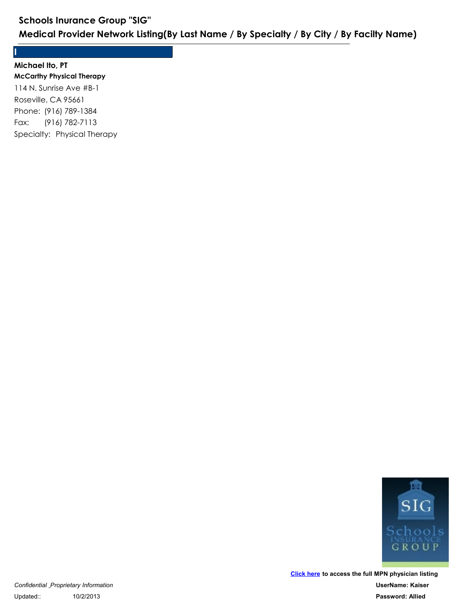**I Michael Ito, PT**

**McCarthy Physical Therapy** 114 N. Sunrise Ave #B-1 Roseville, CA 95661 Schools Inurance Group "SIG"<br>
Medical Provider Network Listing(By Last<br>
I<br>
Michael Ito, PT<br>
McCarthy Physical Therapy<br>
114 N. Sunrise Ave #B-1<br>
Roseville, CA 95661<br>
Phone: (916) 789-1384<br>
Fax: (916) 782-7113<br>
Specialty: Ph Schools Inurance Group "SIG"<br>
Medical Provider Network Listing(By<br>
Michael Ito, PT<br>
McCarthy Physical Therapy<br>
114 N. Sunrise Ave #B-1<br>
Roseville, CA 95661<br>
Phone: (916) 789-1384<br>
Fax: (916) 782-7113<br>
Specialty: Physical T Fax: (916) 782-7113

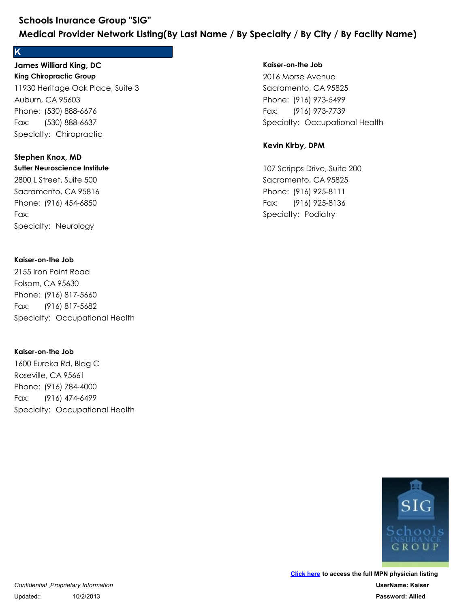#### **K**

**King Chiropractic Group** 11930 Heritage Oak Place, Suite 3 Auburn, CA 95603 Schools Inurance Group "SIG"<br>
Medical Provider Network Listing(By Last<br>
K<br>
James Williard King, DC<br>
King Chiropractic Group<br>
11930 Heritage Oak Place, Suite 3<br>
Auburn, CA 95603<br>
Phone: (530) 888-6676<br>
Fax: (530) 888-6637<br> Schools Inurance Group "SIG"<br>
Medical Provider Network Listing(By<br>
K<br>
James Williard King, DC<br>
King Chiropractic Group<br>
11930 Heritage Oak Place, Suite 3<br>
Auburn, CA 95603<br>
Phone: (530) 888-6676<br>
Fax: (530) 888-6637<br>
Speci Fax: (530) 888-6637 **James Williard King, DC** 11930 Heritage Oak Place, Suite 3<br>Auburn, CA 95603<br>Phone: (530) 888-6676<br>Fax: (530) 888-6637<br>Specialty: Chiropractic<br>**Stephen Knox, MD**<br>**Stephen Knox, MD**<br>**Stephen Knox, MD**<br>Sacramento, CA 95816<br>Phone: (916) 454-6850<br>Fax:<br>

#### **Stephen Knox, MD**

**Sutter Neuroscience Institute**

2800 L Street, Suite 500 Sacramento, CA 95816 Phone: (530) 888-6676<br>Fax: (530) 888-6637<br>Specialty: Chiropractic<br>**Stephen Knox, MD**<br>**Sutter Neuroscience Institute**<br>2800 L Street, Suite 500<br>Sacramento, CA 95816<br>Phone: (916) 454-6850<br>Fax:<br>Specialty: Neurology Fax:

#### **Kaiser-on-the Job**

2155 Iron Point Road Folsom, CA 95630 Phone: (916) 454-6850<br>Fax:<br>Specialty: Neurology<br>**Kaiser-on-the Job**<br>2155 Iron Point Road<br>Folsom, CA 95630<br>Phone: (916) 817-5660<br>Fax: (916) 817-5682<br>Specialty: Occupational Health 2800 L Street, Suite 500<br>Sacramento, CA 95816<br>Phone: (916) 454-6850<br>Fax:<br>Specialty: Neurology<br>**Kaiser-on-the Job**<br>2155 Iron Point Road<br>Folsom, CA 95630<br>Phone: (916) 817-5660<br>Fax: (916) 817-5682<br>Specialty: Occupational Heal Fax: (916) 817-5682 2155 Iron Point Road<br>Folsom, CA 95630<br>Phone: (916) 817-5660<br>Fax: (916) 817-5682<br>Specialty: Occupational Health<br>**Kaiser-on-the Job**<br>1600 Eureka Rd, Bldg C<br>Roseville, CA 95661<br>Phone: (916) 784-4000<br>Fax: (916) 474-6499<br>Specia

#### **Kaiser-on-the Job**

1600 Eureka Rd, Bldg C Roseville, CA 95661 Phone: (916) 817-5660<br>Fax: (916) 817-5682<br>Specialty: Occupational Health<br>**Kaiser-on-the Job**<br>1600 Eureka Rd, Bldg C<br>Roseville, CA 95661<br>Phone: (916) 784-4000<br>Fax: (916) 474-6499<br>Specialty: Occupational Health Fax: (916) 474-6499

#### **Kaiser-on-the Job**

2016 Morse Avenue Sacramento, CA 95825 **Ecialty / By City / By Facilty Name)**<br> **Kaiser-on-the Job**<br>
2016 Morse Avenue<br>
Sacramento, CA 95825<br>
Phone: (916) 973-5499<br>
Fax: (916) 973-7739<br>
Specialty: Occupational Health<br> **Kevin Kirby, DPM ecialty / By City / By Facilty Name)**<br>Kaiser-on-the Job<br>2016 Morse Avenue<br>Sacramento, CA 95825<br>Phone: (916) 973-5499<br>Fax: (916) 973-7739<br>Specialty: Occupational Health Fax: (916) 973-7739 2016 Morse Avenue<br>Sacramento, CA 95825<br>Phone: (916) 973-5499<br>Fax: (916) 973-7739<br>Specialty: Occupational Health<br>**Kevin Kirby, DPM**<br>107 Scripps Drive, Suite 200<br>Sacramento, CA 95825<br>Phone: (916) 925-8111<br>Fax: (916) 925-8136

#### **Kevin Kirby, DPM**

107 Scripps Drive, Suite 200 Sacramento, CA 95825 Phone: (916) 973-5499<br>Fax: (916) 973-7739<br>Specialty: Occupational Health<br>**Kevin Kirby, DPM**<br>107 Scripps Drive, Suite 200<br>Sacramento, CA 95825<br>Phone: (916) 925-8111<br>Fax: (916) 925-8136<br>Specialty: Podiatry Fax: (916) 925-8136

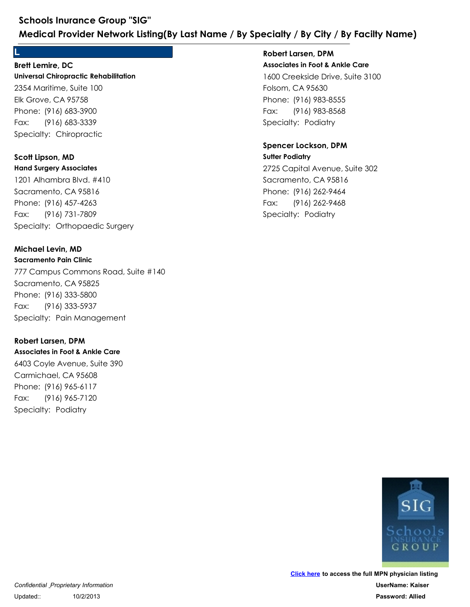#### **Brett Lemire, DC**

**Universal Chiropractic Rehabilitation** 2354 Maritime, Suite 100 Elk Grove, CA 95758 Schools Inurance Group "SIG"<br>
Medical Provider Network Listing(By Last<br>
L<br>
Brett Lemire, DC<br>
Universal Chiropractic Rehabilitation<br>
2354 Maritime, Suite 100<br>
Elk Grove, CA 95758<br>
Phone: (916) 683-3390<br>
Fax: (916) 683-3339<br> Schools Inurance Group "SIG"<br>
Medical Provider Network Listing(By<br>
L<br>
Brett Lemire, DC<br>
Universal Chiropractic Rehabilitation<br>
2354 Maritime, Suite 100<br>
Elk Grove, CA 95758<br>
Phone: (916) 683-3900<br>
Fax: (916) 683-3339<br>
Spec Fax: (916) 683-3339 2354 Maritime, Suite 100<br>Elk Grove, CA 95758<br>Phone: (916) 683-3900<br>Fax: (916) 683-3339<br>Specialty: Chiropractic<br>**Scott Lipson, MD**<br>**Hand Surgery Associates**<br>1201 Alhambra Blvd. #410<br>Sacramento, CA 95816<br>Phone: (916) 457-426

**L**

#### **Hand Surgery Associates Scott Lipson, MD**

1201 Alhambra Blvd. #410 Sacramento, CA 95816 Phone: (916) 683-3900<br>Fax: (916) 683-3339<br>Specialty: Chiropractic<br>**Scott Lipson, MD**<br>Hand Surgery Associates<br>1201 Alhambra Blvd. #410<br>Sacramento, CA 95816<br>Phone: (916) 457-4263<br>Fax: (916) 731-7809<br>Specialty: Orthopaedic Su Fax: (916) 731-7809

#### **Michael Levin, MD**

**Sacramento Pain Clinic** 777 Campus Commons Road, Suite #140 Sacramento, CA 95825 Phone: (916) 457-4263<br>Fax: (916) 731-7809<br>Specialty: Orthopaedic Surgery<br>**Michael Levin, MD**<br>**Sacramento Pain Clinic**<br>777 Campus Commons Road, Suite #140<br>Sacramento, CA 95825<br>Phone: (916) 333-5800<br>Fax: (916) 333-5937<br>Speci 1201 Alhambra Blvd. #410<br>
Sacramento, CA 95816<br>
Phone: (916) 457-4263<br>
Fax: (916) 731-7809<br>
Specialty: Orthopaedic Surgery<br> **Michael Levin, MD**<br> **Sacramento Pain Clinic**<br>
777 Campus Commons Road, Suite #140<br>
Sacramento, CA Fax: (916) 333-5937 777 Campus Commons Road, Suite #140<br>Sacramento, CA 95825<br>Phone: (916) 333-5800<br>Fax: (916) 333-5837<br>Specialty: Pain Management<br>**Robert Larsen, DPM**<br>**Associates in Foot & Ankle Care**<br>6403 Coyle Avenue, Suite 390<br>Carmichael,

#### **Robert Larsen, DPM**

**Associates in Foot & Ankle Care** 6403 Coyle Avenue, Suite 390 Carmichael, CA 95608 Phone: (916) 333-5800<br>Fax: (916) 333-5937<br>Specialty: Pain Management<br>**Robert Larsen, DPM**<br>**Associates in Foot & Ankle Care**<br>6403 Coyle Avenue, Suite 390<br>Carmichael, CA 95608<br>Phone: (916) 965-6117<br>Fax: (916) 965-7120<br>Specia Fax: (916) 965-7120

## **Associates in Foot & Ankle Care** 1600 Creekside Drive, Suite 3100 Folsom, CA 95630 **Ecialty / By City / By Facilty Name**<br> **Robert Larsen, DPM**<br> **Associates in Foot & Ankle Care**<br>
1600 Creekside Drive, Suite 3100<br>
Folsom, CA 95630<br>
Phone: (916) 983-8555<br>
Fax: (916) 983-8568<br>
Specialty: Podiatry<br> **Spencer ecialty / By City / By Facilty Name)**<br>Robert Larsen, DPM<br>Associates in Foot & Ankle Care<br>1600 Creekside Drive, Suite 3100<br>Folsom, CA 95630<br>Phone: (916) 983-8555<br>Fax: (916) 983-8568<br>Specialty: Podiatry Fax: (916) 983-8568 **Robert Larsen, DPM**

#### **Sutter Podiatry Spencer Lockson, DPM**

2725 Capital Avenue, Suite 302 Sacramento, CA 95816 Phone: (916) 983-8555<br>Fax: (916) 983-8555<br>Specialty: Podiatry<br>**Spencer Lockson, DPM**<br>**Suffer Podiatry**<br>2725 Capital Avenue, Suite 302<br>Sacramento, CA 95816<br>Phone: (916) 262-9464<br>Fax: (916) 262-9468<br>Specialty: Podiatry 1600 Creekside Drive, Suite 3100<br>Folsom, CA 95630<br>Phone: (916) 983-8555<br>Fax: (916) 983-8558<br>Specialty: Podiatry<br>**Spencer Lockson, DPM**<br>**Suiter Podiatry**<br>2725 Capital Avenue, Suite 302<br>Sacramento, CA 95816<br>Phone: (916) 262-Fax: (916) 262-9468

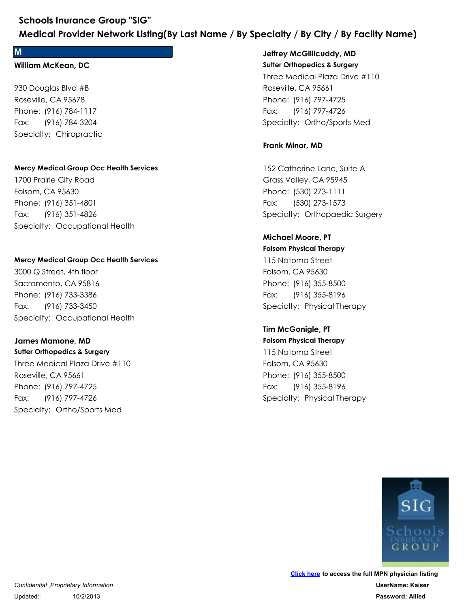#### **M**

#### **William McKean, DC**

930 Douglas Blvd #B Roseville, CA 95678 Schools Inurance Group "SIG"<br>
Medical Provider Network Listing(By Last<br>
M<br>
William McKean, DC<br>
930 Douglas Blvd #B<br>
Roseville, CA 95678<br>
Phone: (916) 784-1117<br>
Fax: (916) 784-3204<br>
Specialty: Chiropractic Schools Inurance Group "SIG"<br>
Medical Provider Network Listing(By<br>
M<br>
William McKean, DC<br>
930 Douglas Blvd #B<br>
Roseville, CA 95678<br>
Phone: (916) 784-1117<br>
Fax: (916) 784-3204<br>
Specialty: Chiropractic Fax: (916) 784-3204

#### **Mercy Medical Group Occ Health Services**

1700 Prairie City Road Folsom, CA 95630 Phone: (916) 784-1117<br>Fax: (916) 784-3204<br>Specialty: Chiropractic<br>Mercy Medical Group Occ Health Services<br>1700 Prairie City Road<br>Folsom, CA 95630<br>Phone: (916) 351-4826<br>Fax: (916) 351-4826<br>Specialty: Occupational Health 930 Douglas Blvd #B<br>Roseville, CA 95678<br>Phone: (916) 784-1117<br>Fax: (916) 784-3204<br>Specialty: Chiropractic<br>Mercy Medical Group Occ Health Services<br>1700 Prairie City Road<br>Folsom, CA 95630<br>Phone: (916) 351-4801<br>Fax: (916) 351 Fax: (916) 351-4826

#### **Mercy Medical Group Occ Health Services**

3000 Q Street, 4th floor Sacramento, CA 95816 Phone: (916) 351-4801<br>Fax: (916) 351-4826<br>Specialty: Occupational Health<br>Mercy Medical Group Occ Health Services<br>3000 Q Street, 4th floor<br>Sacramento, CA 95816<br>Phone: (916) 733-3386<br>Fax: (916) 733-3450<br>Specialty: Occupation 1700 Prairie City Road<br>Folsom, CA 95630<br>Phone: (916) 351-4801<br>Fax: (916) 351-4826<br>Specialty: Occupational Health<br>Mercy Medical Group Occ Health Services<br>3000 Q Street, 4th floor<br>Sacramento, CA 95816<br>Phone: (916) 733-3386<br>F Fax: (916) 733-3450

#### **James Mamone, MD**

**Sutter Orthopedics & Surgery** Three Medical Plaza Drive #110 Roseville, CA 95661 Phone: (916) 733-3386<br>Fax: (916) 733-3450<br>Specialty: Occupational Health<br>James Mamone, MD<br>Sutter Orthopedics & Surgery<br>Three Medical Plaza Drive #110<br>Roseville, CA 95661<br>Phone: (916) 797-4725<br>Fax: (916) 797-4726<br>Specialty: 3000 Q Street, 4th floor<br>Sacramento, CA 95816<br>Phone: (916) 733-3386<br>Fax: (916) 733-3450<br>Specialty: Occupational Health<br>James Mamone, MD<br>Sutter Orthopedics & Surgery<br>Three Medical Plaza Drive #110<br>Roseville, CA 95661<br>Phone: Fax: (916) 797-4726

#### **Sutter Orthopedics & Surgery Jeffrey McGillicuddy, MD**

Three Medical Plaza Drive #110 Roseville, CA 95661 **Ecialty / By City / By Facilty Name)**<br>
Jeffrey McGillicuddy, MD<br>
Sutter Orthopedics & Surgery<br>
Three Medical Plaza Drive #110<br>
Roseville, CA 95661<br>
Phone: (916) 797-4725<br>
Fax: (916) 797-4726<br>
Specialty: Ortho/Sports Med<br> **ecialty / By City / By Facilty Name)**<br>Jeffrey McGillicuddy, MD<br>Sutter Orthopedics & Surgery<br>Three Medical Plaza Drive #110<br>Roseville, CA 95661<br>Phone: (916) 797-4725<br>Fax: (916) 797-4726<br>Specialty: Ortho/Sports Med Fax: (916) 797-4726 Three Medical Plaza Drive #110<br>Roseville, CA 95661<br>Phone: (916) 797-4725<br>Fax: (916) 797-4726<br>Specialty: Ortho/Sports Med<br>**Frank Minor, MD**<br>152 Catherine Lane, Suite A<br>Grass Valley, CA 95945<br>Phone: (530) 273-1111<br>Fax: (530)

#### **Frank Minor, MD**

152 Catherine Lane, Suite A Grass Valley, CA 95945 Phone: (916) 797-4725<br>Fax: (916) 797-4726<br>Specialty: Ortho/Sports Med<br>**Frank Minor, MD**<br>152 Catherine Lane, Suite A<br>Grass Valley, CA 95945<br>Phone: (530) 273-1111<br>Fax: (530) 273-1573<br>Specialty: Orthopaedic Surgery<br>**Michael M** Fax: (530) 273-1573 152 Catherine Lane, Suite A<br>Grass Valley, CA 95945<br>Phone: (530) 273-1111<br>Fax: (530) 273-1573<br>Specialty: Orthopaedic Surgery<br>**Michael Moore, PT**<br>**Folsom Physical Therapy**<br>115 Natoma Street<br>Folsom, CA 95630<br>Phone: (916) 355-

## **Michael Moore, PT**

**Folsom Physical Therapy** 115 Natoma Street Folsom, CA 95630 Phone: (530) 273-1111<br>Fax: (530) 273-1573<br>Specialty: Orthopaedic Surgery<br>**Michael Moore, PT**<br>Folsom Physical Therapy<br>115 Natoma Street<br>Folsom, CA 95630<br>Phone: (916) 355-8500<br>Fax: (916) 355-8196<br>Specialty: Physical Therapy<br> Fax: (916) 355-8196

#### **Tim McGonigle, PT**

**Folsom Physical Therapy** 115 Natoma Street Folsom, CA 95630 Phone: (916) 355-8500<br>Fax: (916) 355-8196<br>Specialty: Physical Therapy<br>**Tim McGonigle, PT**<br>**Tim McGonigle, PT**<br>Folsom Physical Therapy<br>115 Natoma Street<br>Folsom, CA 95630<br>Phone: (916) 355-8500<br>Fax: (916) 355-8196<br>Specialty: 115 Natoma Street<br>Folsom, CA 95630<br>Phone: (916) 355-8500<br>Fax: (916) 355-8196<br>Specialty: Physical Therapy<br>**Tim McGonigle, PT<br>Folsom Physical Therapy**<br>115 Natoma Street<br>Folsom, CA 95630<br>Phone: (916) 355-8500<br>Fax: (916) 355-8 Fax: (916) 355-8196

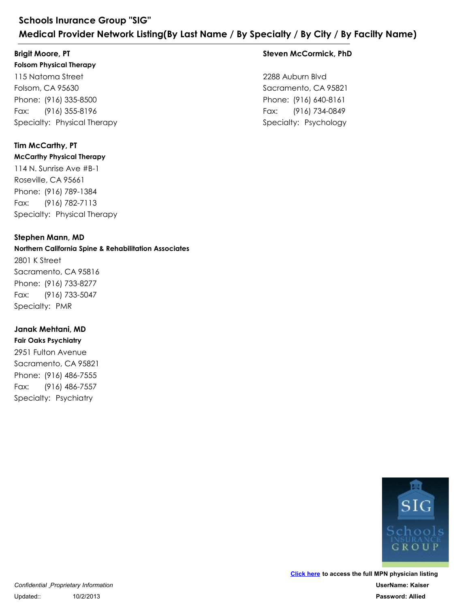## **Brigit Moore, PT**

**Folsom Physical Therapy**

115 Natoma Street Folsom, CA 95630 Schools Inurance Group "SIG"<br>
Medical Provider Network Listing(By Last<br>
Brigit Moore, PT<br>
Folsom Physical Therapy<br>
115 Natoma Street<br>
Folsom, CA 95630<br>
Phone: (916) 335-8500<br>
Fax: (916) 355-8196<br>
Specialty: Physical Therap Schools Inurance Group "SIG"<br>
Medical Provider Network Listing(By<br>
Brigit Moore, PT<br>
Folsom Physical Therapy<br>
115 Natoma Street<br>
Folsom, CA 95630<br>
Phone: (916) 335-8500<br>
Fax: (916) 335-8196<br>
Specialty: Physical Therapy Fax: (916) 355-8196

## **Tim McCarthy, PT**

#### **McCarthy Physical Therapy**

114 N. Sunrise Ave #B-1 Roseville, CA 95661 Phone: (916) 335-8500<br>Fax: (916) 335-8196<br>Specialty: Physical Therapy<br>**Tim McCarthy, PT**<br>**Tim McCarthy, PT**<br>McCarthy Physical Therapy<br>114 N. Sunrise Ave #B-1<br>Roseville, CA 95661<br>Phone: (916) 789-1384<br>Fax: (916) 782-7113<br>Sp 115 Natoma Street<br>Folsom, CA 95630<br>Phone: (916) 335-8500<br>Fax: (916) 355-8196<br>Specialty: Physical Therapy<br>**Tim McCarthy, PT**<br>**McCarthy Physical Therapy**<br>114 N. Sunrise Ave #B-1<br>Roseville, CA 95661<br>Phone: (916) 789-1384<br>Fax: Fax: (916) 782-7113 114 N. Sunrise Ave #B-1<br>
Roseville, CA 95661<br>
Phone: (916) 789-1384<br>
Fax: (916) 782-7113<br>
Specialty: Physical Therapy<br> **Stephen Mann, MD**<br> **Northern California Spine & Rehabilitation Associc**<br>
2801 K Street<br>
Sacramento, CA

#### **Stephen Mann, MD**

#### **Northern California Spine & Rehabilitation Associates** 2801 K Street

Sacramento, CA 95816 Phone: (916) 789-1384<br>Fax: (916) 782-7113<br>Specialty: Physical Therapy<br>**Stephen Mann, MD**<br>**Northern California Spine & Rehabilitation As**<br>2801 K Street<br>Sacramento, CA 95816<br>Phone: (916) 733-8277<br>Fax: (916) 733-5047<br>Specialt Fax: (916) 733-5047

### **Janak Mehtani, MD**

**Fair Oaks Psychiatry** 2951 Fulton Avenue Sacramento, CA 95821 Phone: (916) 733-8277<br>Fax: (916) 733-5047<br>Specialty: PMR<br>**Janak Mehtani, MD**<br>**Fair Oaks Psychiatry**<br>2951 Fulton Avenue<br>Sacramento, CA 95821<br>Phone: (916) 486-7555<br>Fax: (916) 486-7557<br>Specialty: Psychiatry 2801 K Street<br>
Sacramento, CA 95816<br>
Phone: (916) 733-8277<br>
Fax: (916) 733-5047<br>
Specialty: PMR<br> **Janak Mehtani, MD<br>
Fair Oaks Psychiatry**<br>
2951 Fulton Avenue<br>
Sacramento, CA 95821<br>
Phone: (916) 486-7555<br>
Fax: (916) 486-75 Fax: (916) 486-7557

#### **Steven McCormick, PhD**

2288 Auburn Blvd Sacramento, CA 95821 Pacialty / By City / By Facilty Name)<br>Steven McCormick, PhD<br>2288 Auburn Blvd<br>Sacramento, CA 95821<br>Phone: (916) 640-8161<br>Fax: (916) 734-0849<br>Specialty: Psychology Priar Cally / By City / By Facilty Name)<br>Steven McCormick, PhD<br>2288 Auburn Blvd<br>Sacramento, CA 95821<br>Phone: (916) 640-8161<br>Fax: (916) 734-0849<br>Specialty: Psychology Fax: (916) 734-0849

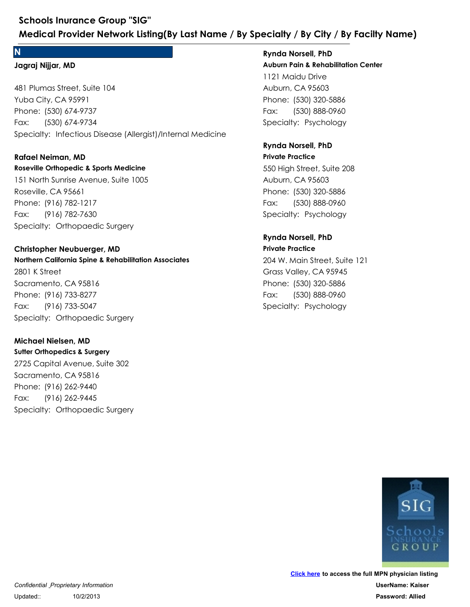#### **N**

#### **Jagraj Nijjar, MD**

481 Plumas Street, Suite 104 Yuba City, CA 95991 Schools Inurance Group "SIG"<br>
Medical Provider Network Listing(By Last Name / By Specialty / By C<br>
Rynda Norsell, P<br>
Jagraj Nijjar, MD<br>
481 Plumas Street, Suite 104<br>
481 Plumas Street, Suite 104<br>
Yuba City, CA 95991<br>
Phone Schools Inurance Group "SIG"<br>
Medical Provider Network Listing(By<br>
N<br>
Jagraj Nijjar, MD<br>
481 Plumas Street, Suite 104<br>
Yuba City, CA 95991<br>
Phone: (530) 674-9737<br>
Fax: (530) 674-9734<br>
Specialty: Infectious Disease (Allergi Fax: (530) 674-9734 481 Plumas Street, Suite 104<br>Yuba City, CA 95991<br>Phone: (530) 674-9737<br>Fax: (530) 674-9734<br>Specialty: Infectious Disease (Allergist)/Inter<br>**Rafael Neiman, MD<br>Roseville Orthopedic & Sports Medicine**<br>151 North Sunrise Avenue

#### **Rafael Neiman, MD**

#### **Roseville Orthopedic & Sports Medicine**

151 North Sunrise Avenue, Suite 1005 Roseville, CA 95661 Phone: (530) 674-9737<br>Fax: (530) 674-9737<br>Specialty: Infectious Disease (Allergist)/Internal Media<br>**Rafael Neiman, MD**<br>**Roseville Orthopedic & Sports Medicine**<br>151 North Sunrise Avenue, Suite 1005<br>Roseville, CA 95661<br>Phone Fax: (916) 782-7630

#### **Christopher Neubuerger, MD**

**Northern California Spine & Rehabilitation Associates** 2801 K Street Sacramento, CA 95816 Phone: (916) 782-1217<br>Fax: (916) 782-7630<br>Specialty: Orthopaedic Surgery<br>**Christopher Neubuerger, MD**<br>**Northern California Spine & Rehabilitation Associates**<br>2801 K Street<br>Sacramento, CA 95816<br>Phone: (916) 733-8277<br>Fax: (9 151 North Sunrise Avenue, Suite 1005<br>Roseville, CA 95661<br>Phone: (916) 782-1217<br>Fax: (916) 782-7630<br>Specialty: Orthopaedic Surgery<br>**Christopher Neubuerger, MD**<br>**Northern California Spine & Rehabilitation Associc**<br>2801 K Str Fax: (916) 733-5047 2801 K Street<br>Sacramento, CA 95816<br>Phone: (916) 733-8277<br>Fax: (916) 733-5047<br>Specialty: Orthopaedic Surgery<br>**Michael Nielsen, MD**<br>**Surter Orthopedics & Surgery**<br>2725 Capital Avenue, Suite 302<br>Sacramento, CA 95816<br>Phone: (9

#### **Michael Nielsen, MD**

**Sutter Orthopedics & Surgery** 2725 Capital Avenue, Suite 302 Sacramento, CA 95816 Phone: (916) 733-8277<br>Fax: (916) 733-5047<br>Specialty: Orthopaedic Surgery<br>**Michael Nielsen, MD**<br>**Surter Orthopedics & Surgery**<br>2725 Capital Avenue, Suite 302<br>Sacramento, CA 95816<br>Phone: (916) 262-9440<br>Fax: (916) 262-9445<br>Sp Fax: (916) 262-9445

**Auburn Pain & Rehabilitation Center** 1121 Maidu Drive Auburn, CA 95603 **Ecialty / By City / By Facilty Name)**<br> **Rynda Norsell, PhD**<br> **Auburn Pain & Rehabilitation Center**<br>
1121 Maidu Drive<br>
Auburn, CA 95603<br>
Phone: (530) 320-5886<br>
Fax: (530) 888-0960<br>
Specialty: Psychology<br> **Rynda Norsell, Ph ecialty / By City / By Facilty Name)**<br> **Rynda Norsell, PhD<br>
Auburn Pain & Rehabilitation Center**<br>
1121 Maidu Drive<br>
Auburn, CA 95603<br>
Phone: (530) 320-5886<br>
Fax: (530) 888-0960<br>
Specialty: Psychology Fax: (530) 888-0960 **Rynda Norsell, PhD** 1121 Maidu Drive<br>Auburn, CA 95603<br>Phone: (530) 320-5886<br>Fax: (530) 888-0960<br>Specialty: Psychology<br>**Rynda Norsell, PhD**<br>**Private Practice**<br>550 High Street, Suite 208<br>Auburn, CA 95603<br>Phone: (530) 320-5886<br>Fax: (530) 888-096

#### **Private Practice Rynda Norsell, PhD**

550 High Street, Suite 208 Auburn, CA 95603 Phone: (530) 320-5886<br>Fax: (530) 888-0960<br>Specialty: Psychology<br>**Rynda Norsell, PhD**<br>**Private Practice**<br>550 High Street, Suite 208<br>Auburn, CA 95603<br>Phone: (530) 320-5886<br>Fax: (530) 888-0960<br>Specialty: Psychology<br>**Rynda Nor** Fax: (530) 888-0960

#### **Private Practice Rynda Norsell, PhD**

204 W. Main Street, Suite 121 Grass Valley, CA 95945 Phone: (530) 320-5886<br>Fax: (530) 888-0960<br>Specialty: Psychology<br>**Rynda Norsell, PhD**<br>**Private Practice**<br>204 W. Main Street, Suite 121<br>Grass Valley, CA 95945<br>Phone: (530) 320-5886<br>Fax: (530) 888-0960<br>Specialty: Psychology 550 High Street, Suite 208<br>Auburn, CA 95603<br>Phone: (530) 320-5886<br>Fax: (530) 888-0960<br>Specialty: Psychology<br>**Rynda Norsell, PhD**<br>**Private Practice**<br>204 W. Main Street, Suite 121<br>Grass Valley, CA 95945<br>Phone: (530) 320-5886 Fax: (530) 888-0960

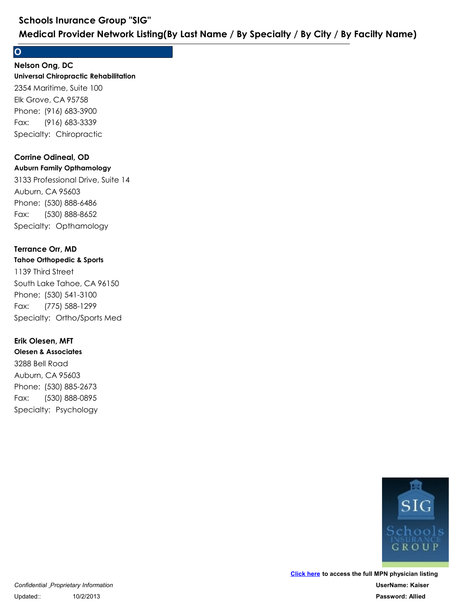#### **O**

#### **Universal Chiropractic Rehabilitation Nelson Ong, DC**

2354 Maritime, Suite 100 Elk Grove, CA 95758 Schools Inurance Group "SIG"<br>
Medical Provider Network Listing(By Last<br>
O<br>
Nelson Ong, DC<br>
Universal Chiropractic Rehabilitation<br>
2354 Maritime, Suite 100<br>
Elk Grove, CA 95758<br>
Phone: (916) 683-3390<br>
Fax: (916) 683-3339<br>
S Schools Inurance Group "SIG"<br>
Medical Provider Network Listing(By<br>
O<br>
Nelson Ong, DC<br>
Universal Chiropractic Rehabilitation<br>
2354 Maritime, Suite 100<br>
Elk Grove, CA 95758<br>
Phone: (916) 683-3900<br>
Fax: (916) 683-3339<br>
Specia Fax: (916) 683-3339

#### **Corrine Odineal, OD**

#### **Auburn Family Opthamology**

3133 Professional Drive, Suite 14 Auburn, CA 95603 Phone: (916) 683-3900<br>Fax: (916) 683-3339<br>Specialty: Chiropractic<br>**Corrine Odineal, OD**<br>**Auburn Family Opthamology**<br>3133 Professional Drive, Suite 14<br>Auburn, CA 95603<br>Phone: (530) 888-6486<br>Fax: (530) 888-8652<br>Specialty: Op 2354 Maritime, Suite 100<br>Elk Grove, CA 95758<br>Phone: (916) 683-3900<br>Fax: (916) 683-3339<br>Specialty: Chiropractic<br>**Corrine Odineal, OD**<br>**Auburn Family Opthamology**<br>3133 Professional Drive, Suite 14<br>Auburn, CA 95603<br>Phone: (53 Fax: (530) 888-8652 3133 Professional Drive, Suite 14<br>Auburn, CA 95603<br>Phone: (530) 888-6486<br>Fax: (530) 888-8652<br>Specialty: Opthamology<br>**Terrance Orr, MD**<br>**Tahoe Orthopedic & Sports**<br>1139 Third Street<br>South Lake Tahoe, CA 96150<br>Phone: (530) 5

#### **Terrance Orr, MD**

#### **Tahoe Orthopedic & Sports**

1139 Third Street South Lake Tahoe, CA 96150 Phone: (530) 888-6486<br>Fax: (530) 888-8652<br>Specialty: Opthamology<br>**Terrance Orr, MD**<br>**Tahoe Orthopedic & Sports**<br>1139 Third Street<br>South Lake Tahoe, CA 96150<br>Phone: (530) 541-3100<br>Fax: (775) 588-1299<br>Specialty: Ortho/Sports Fax: (775) 588-1299 1139 Third Street<br>
South Lake Tahoe, CA 96150<br>
Phone: (530) 541-3100<br>
Fax: (775) 588-1299<br>
Specialty: Ortho/Sports Med<br> **Erik Olesen, MFT**<br> **Olesen & Associates**<br>
3288 Bell Road<br>
Auburn, CA 95603<br>
Phone: (530) 885-2673<br>
Fa

#### **Erik Olesen, MFT**

**Olesen & Associates** 3288 Bell Road Auburn, CA 95603 Phone: (530) 541-3100<br>Fax: (775) 588-1299<br>Specialty: Ortho/Sports Med<br>**Erik Olesen, MFT**<br>**Diesen & Associates**<br>3288 Bell Road<br>Auburn, CA 95603<br>Phone: (530) 885-2673<br>Fax: (530) 888-0895<br>Specialty: Psychology Fax: (530) 888-0895

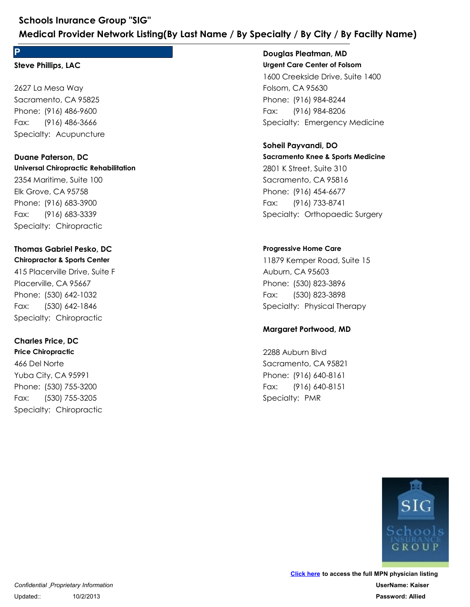## **P**

#### **Steve Phillips, LAC**

2627 La Mesa Way Sacramento, CA 95825 Schools Inurance Group "SIG"<br>
Medical Provider Network Listing(By Last<br>
P<br>
Steve Phillips, LAC<br>
2627 La Mesa Way<br>
Sacramento, CA 95825<br>
Phone: (916) 486-9600<br>
Fax: (916) 486-3666<br>
Specialty: Acupuncture<br>
Duane Paterson, DC Schools Inurance Group "SIG"<br>
Medical Provider Network Listing(By<br>
P<br>
Steve Phillips, LAC<br>
2627 La Mesa Way<br>
Sacramento, CA 95825<br>
Phone: (916) 486-9600<br>
Fax: (916) 486-3666<br>
Specialty: Acupuncture Fax: (916) 486-3666

## **Duane Paterson, DC**

**Universal Chiropractic Rehabilitation** 2354 Maritime, Suite 100 Elk Grove, CA 95758 Phone: (916) 486-9600<br>Fax: (916) 486-3666<br>Specialty: Acupuncture<br>**Duane Paterson, DC**<br>**Universal Chiropractic Rehabilitation**<br>2354 Maritime, Suite 100<br>Elk Grove, CA 95758<br>Phone: (916) 683-3900<br>Fax: (916) 683-3339<br>Specialty 2627 La Mesa Way<br>Sacramento, CA 95825<br>Phone: (916) 486-9600<br>Fax: (916) 486-3666<br>Specialty: Acupuncture<br>**Duane Paterson, DC<br>Universal Chiropractic Rehabilitation**<br>2354 Maritime, Suite 100<br>Elk Grove, CA 95758<br>Phone: (916) 68 Fax: (916) 683-3339

#### **Chiropractor & Sports Center Thomas Gabriel Pesko, DC**

415 Placerville Drive, Suite F Placerville, CA 95667 Phone: (916) 683-3300<br>Fax: (916) 683-3339<br>Specialty: Chiropractic<br>**Thomas Gabriel Pesko, DC**<br>**Chiropractor & Sports Center**<br>415 Placerville Drive, Suite F<br>Placerville, CA 95667<br>Phone: (530) 642-1032<br>Fax: (530) 642-1846<br>Spe 2354 Maritime, Suite 100<br>Elk Grove, CA 95758<br>Phone: (916) 683-3900<br>Fax: (916) 683-3339<br>Specialty: Chiropractic<br>**Thomas Gabriel Pesko, DC<br>Chiropractor & Sports Center**<br>415 Placerville Drive, Suite F<br>Placerville, CA 95667<br>Ph Fax: (530) 642-1846 415 Placerville Drive, Suite F<br>Placerville, CA 95667<br>Phone: (530) 642-1032<br>Fax: (530) 642-1846<br>Specialty: Chiropractic<br>**Charles Price, DC**<br>**Price Chiropractic**<br>466 Del Norte<br>Yuba City, CA 95991<br>Phone: (530) 755-3200<br>Fax: (

#### **Charles Price, DC**

**Price Chiropractic** 466 Del Norte Yuba City, CA 95991 Phone: (530) 642-1032<br>Fax: (530) 642-1846<br>Specialty: Chiropractic<br>**Charles Price, DC**<br>**Price Chiropractic**<br>466 Del Norte<br>Yuba City, CA 95991<br>Phone: (530) 755-3200<br>Fax: (530) 755-3205<br>Specialty: Chiropractic Fax: (530) 755-3205

## **Douglas Pleatman, MD**

**Urgent Care Center of Folsom** 1600 Creekside Drive, Suite 1400 Folsom, CA 95630 **Ecialty / By City / By Facilty Name)**<br>
Douglas Pleatman, MD<br>
Urgent Care Center of Folsom<br>
1600 Creekside Drive, Suite 1400<br>
Folsom, CA 95630<br>
Phone: (916) 984-8244<br>
Fax: (916) 984-8206<br>
Specialty: Emergency Medicine<br> **So Ecialty / By City / By Facilty Name)**<br> **Douglas Pleatman, MD**<br> **Urgent Care Center of Folsom**<br>
1600 Creekside Drive, Suite 1400<br>
Folsom, CA 95630<br>
Phone: (916) 984-8244<br>
Fax: (916) 984-8206<br>
Specialty: Emergency Medi Fax: (916) 984-8206 1600 Creekside Drive, Suite 1400<br>Folsom, CA 95630<br>Phone: (916) 984-8244<br>Fax: (916) 984-8206<br>Specialty: Emergency Medicine<br>**Soheil Payvandi, DO**<br>**Sacramento Knee & Sports Medicine**<br>2801 K Street, Suite 310<br>Sacramento, CA 95

#### **Sacramento Knee & Sports Medicine Soheil Payvandi, DO**

2801 K Street, Suite 310 Sacramento, CA 95816 Phone: (916) 984-8244<br>Fax: (916) 984-8206<br>Specialty: Emergency Medicine<br>**Soheil Payvandi, DO**<br>**Sacramento Knee & Sports Medicine**<br>2801 K Street, Suite 310<br>Sacramento, CA 95816<br>Phone: (916) 454-6677<br>Fax: (916) 733-8741<br>Spec Fax: (916) 733-8741 2801 K Street, Suite 310<br>
Sacramento, CA 95816<br>
Phone: (916) 454-6677<br>
Fax: (916) 733-8741<br>
Specialty: Orthopaedic Surgery<br> **Progressive Home Care<br>
11879 Kemper Road, Suite 15<br>
Auburn, CA 95603<br>
Phone: (530) 823-3896<br>
Fax:** 

#### **Progressive Home Care**

11879 Kemper Road, Suite 15 Auburn, CA 95603 Phone: (916) 454-6677<br>Fax: (916) 733-8741<br>Specialty: Orthopaedic Surgery<br>Progressive Home Care<br>11879 Kemper Road, Suite 15<br>Auburn, CA 95603<br>Phone: (530) 823-3896<br>Fax: (530) 823-3898<br>Specialty: Physical Therapy<br>Margaret Por Fax: (530) 823-3898 11879 Kemper Road, Suite 15<br>Auburn, CA 95603<br>Phone: (530) 823-3896<br>Fax: (530) 823-3898<br>Specialty: Physical Therapy<br>**Margaret Portwood, MD**<br>2288 Auburn Blvd<br>Sacramento, CA 95821<br>Phone: (916) 640-8161<br>Fax: (916) 640-8151<br>Spe

#### **Margaret Portwood, MD**

2288 Auburn Blvd Sacramento, CA 95821 Phone: (530) 823-3896<br>Fax: (530) 823-3898<br>Specialty: Physical Therapy<br>**Margaret Portwood, MD**<br>2288 Auburn Blvd<br>Sacramento, CA 95821<br>Phone: (916) 640-8161<br>Fax: (916) 640-8161<br>Specialty: PMR Fax: (916) 640-8151

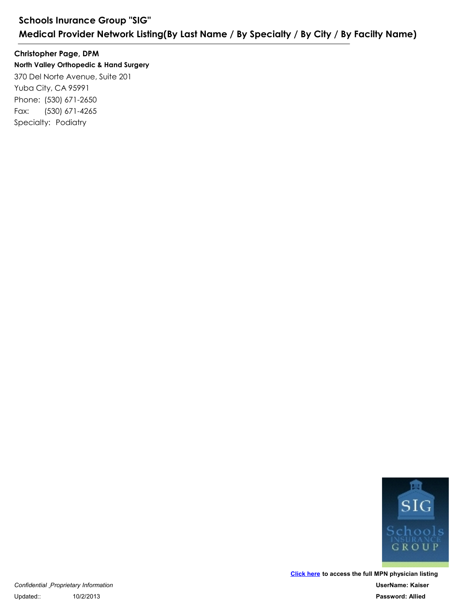**North Valley Orthopedic & Hand Surgery** 370 Del Norte Avenue, Suite 201 Yuba City, CA 95991 Schools Inurance Group "SIG"<br>
Medical Provider Network Listing<br>
Christopher Page, DPM<br>
North Valley Orthopedic & Hand Surgery<br>
370 Del Norte Avenue, Suite 201<br>
Yuba City, CA 95991<br>
Phone: (530) 671-2650<br>
Fax: (530) 671-426 Schools Inurance Group "SIG"<br>
Medical Provider Network Listing(By<br>
Christopher Page, DPM<br>
North Valley Orthopedic & Hand Surgery<br>
370 Del Norte Avenue, Suite 201<br>
Yuba City, CA 95991<br>
Phone: (530) 671-2650<br>
Fax: (530) 671-Fax: (530) 671-4265 **Christopher Page, DPM**



**[Click here](http://www.talispoint.com/index.cgi) to access the full MPN physician listing UserName: Kaiser Password: Allied**

*Confidential Proprietary Information* Updated:: 10/2/2013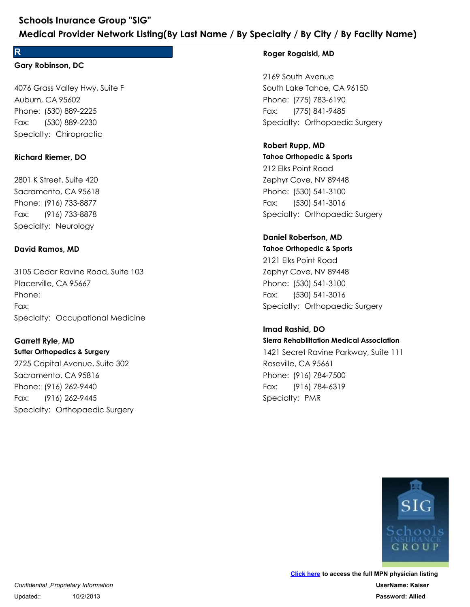#### **R**

#### **Gary Robinson, DC**

4076 Grass Valley Hwy, Suite F Auburn, CA 95602 Schools Inurance Group "SIG"<br>
Medical Provider Network Listing(By Last<br>
R<br>
Gary Robinson, DC<br>
4076 Grass Valley Hwy, Suite F<br>
Auburn, CA 95602<br>
Phone: (530) 889-2225<br>
Fax: (530) 889-2230<br>
Specialty: Chiropractic<br>
Richard R Schools Inurance Group "SIG"<br>
Medical Provider Network Listing(By<br>
R<br>
Gary Robinson, DC<br>
4076 Grass Valley Hwy, Suite F<br>
Auburn, CA 95602<br>
Phone: (530) 889-2225<br>
Fax: (530) 889-2230<br>
Specialty: Chiropractic Fax: (530) 889-2230 4076 Grass Valley Hwy, Suite F<br>Auburn, CA 95602<br>Phone: (530) 889-2225<br>Fax: (530) 889-2230<br>Specialty: Chiropractic<br>**Richard Riemer, DO**<br>2801 K Street, Suite 420<br>Sacramento, CA 95618<br>Phone: (916) 733-8877<br>Fax: (916) 733-8878

#### **Richard Riemer, DO**

2801 K Street, Suite 420 Sacramento, CA 95618 Phone: (530) 889-2225<br>Fax: (530) 889-2230<br>Specialty: Chiropractic<br>**Richard Riemer, DO**<br>2801 K Street, Suite 420<br>Sacramento, CA 95618<br>Phone: (916) 733-8877<br>Fax: (916) 733-8878<br>Specialty: Neurology<br>**David Ramos, MD** Fax: (916) 733-8878

#### **David Ramos, MD**

3105 Cedar Ravine Road, Suite 103 Placerville, CA 95667 Phone: (916) 733-8877<br>Fax: (916) 733-8878<br>Specialty: Neurology<br>**David Ramos, MD**<br>3105 Cedar Ravine Road, Suite 103<br>Placerville, CA 95667<br>Phone:<br>Fax:<br>Specialty: Occupational Medicine<br>**Garrett Ryle, MD** Phone: Fax:

#### **Garrett Ryle, MD**

**Sutter Orthopedics & Surgery** 2725 Capital Avenue, Suite 302 Sacramento, CA 95816 Phone:<br>Fax:<br>Specialty: Occupational Medicine<br>**Garrett Ryle, MD**<br>**Sutter Orthopedics & Surgery**<br>2725 Capital Avenue, Suite 302<br>Sacramento, CA 95816<br>Phone: (916) 262-9440<br>Fax: (916) 262-9445<br>Specialty: Orthopaedic Surgery 3105 Cedar Ravine Road, Suite 103<br>Placerville, CA 95667<br>Phone:<br>Fax:<br>Specialty: Occupational Medicine<br>**Garrett Ryle, MD**<br>Sutter Orthopedics & Surgery<br>2725 Capital Avenue, Suite 302<br>Sacramento, CA 95816<br>Phone: (916) 262-9440 Fax: (916) 262-9445

#### **Roger Rogalski, MD**

2169 South Avenue South Lake Tahoe, CA 96150 Pacialty: / By City: / By Facilty Name)<br>
Roger Rogalski, MD<br>
2169 South Avenue<br>
South Lake Tahoe, CA 96150<br>
Phone: (775) 783-6190<br>
Fax: (775) 841-9485<br>
Specialty: Orthopaedic Surgery<br>
Robert Rupp, MD **ecialty / By City / By Facilty Name)**<br>Roger Rogalski, MD<br>2169 South Avenue<br>South Lake Tahoe, CA 96150<br>Phone: (775) 783-6190<br>Fax: (775) 841-9485<br>Specialty: Orthopaedic Surgery Fax: (775) 841-9485

### **Robert Rupp, MD**

**Tahoe Orthopedic & Sports** 212 Elks Point Road Zephyr Cove, NV 89448 Phone: (775) 783-6190<br>Fax: (775) 841-9485<br>Specialty: Orthopaedic Surgery<br>**Robert Rupp, MD**<br>**Tahoe Orthopedic & Sports**<br>212 Elks Point Road<br>Zephyr Cove, NV 89448<br>Phone: (530) 541-3100<br>Fax: (530) 541-3106<br>Specialty: Orthopae 2169 South Avenue<br>South Lake Tahoe, CA 96150<br>Phone: (775) 783-6190<br>Fax: (775) 841-9485<br>Specialty: Orthopaedic Surgery<br>**Robert Rupp, MD**<br>**Tahoe Orthopedic & Sports**<br>212 Elks Point Road<br>Zephyr Cove, NV 89448<br>Phone: (530) 541 Fax: (530) 541-3016

#### **Daniel Robertson, MD**

Fax: (916) 784-6319

**Tahoe Orthopedic & Sports** 2121 Elks Point Road Zephyr Cove, NV 89448 Phone: (530) 541-3100<br>Fax: (530) 541-3100<br>Specialty: Orthopaedic Surgery<br>**Daniel Robertson, MD**<br>**Tahoe Orthopedic & Sports**<br>2121 Elks Point Road<br>Zephyr Cove, NV 89448<br>Phone: (530) 541-3100<br>Fax: (530) 541-3100<br>Specialty: Or 212 Elks Point Road<br>Zephyr Cove, NV 89448<br>Phone: (530) 541-3100<br>Fax: (530) 541-3016<br>Specialty: Orthopaedic Surgery<br>**Daniel Robertson, MD**<br>**Tahoe Orthopedic & Sports**<br>2121 Elks Point Road<br>Zephyr Cove, NV 89448<br>Phone: (530) Fax: (530) 541-3016 2121 Elks Point Road<br>Zephyr Cove, NV 89448<br>Phone: (530) 541-3100<br>Fax: (530) 541-3106<br>Specialty: Orthopaedic Surgery<br>**Imad Rashid, DO**<br>**Sierra Rehabilitation Medical Association**<br>1421 Secret Ravine Parkway, Suite 111<br>Rosevi

**Sierra Rehabilitation Medical Association** 1421 Secret Ravine Parkway, Suite 111 Roseville, CA 95661 Phone: (530) 541-3100<br>Phone: (530) 541-3016<br>Specialty: Orthopaedic Surgery<br>**Imad Rashid, DO**<br>**Specialty: Orthopaedic Surgery**<br>**Imad Rashid, DO**<br>1421 Secret Ravine Parkway, Suite 111<br>Roseville, CA 95661<br>Phone: (916) 784-750 **Imad Rashid, DO**

GROUP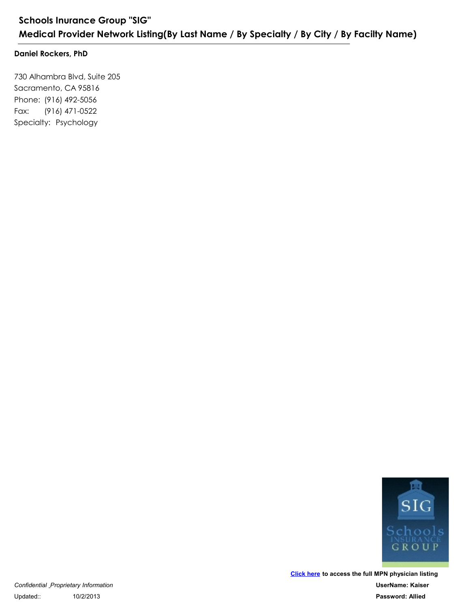#### **Daniel Rockers, PhD**

730 Alhambra Blvd, Suite 205 Sacramento, CA 95816 Schools Inurance Group "SIG"<br>
Medical Provider Network Listing(By<br>
Daniel Rockers, PhD<br>
730 Alhambra Blvd, Suite 205<br>
Sacramento, CA 95816<br>
Phone: (916) 492-5056<br>
Fax: (916) 471-0522<br>
Specialty: Psychology Schools Inurance Group "SIG"<br>
Medical Provider Network Listing(By<br>
Daniel Rockers, PhD<br>
730 Alhambra Blvd, Suite 205<br>
Sacramento, CA 95816<br>
Phone: (916) 492-5056<br>
Fax: (916) 471-0522<br>
Specialty: Psychology Fax: (916) 471-0522

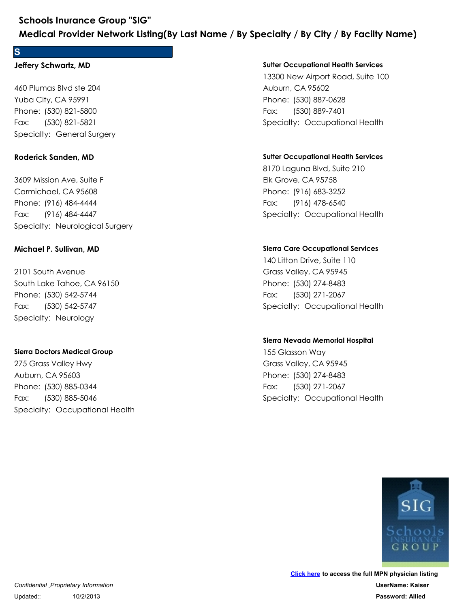#### **S**

#### **Jeffery Schwartz, MD**

460 Plumas Blvd ste 204 Yuba City, CA 95991 Schools Inurance Group "SIG"<br>
Medical Provider Network Listing(By Las<br>
S<br>
Jeffery Schwartz, MD<br>
460 Plumas Blvd ste 204<br>
Yuba City, CA 95991<br>
Phone: (530) 821-5800<br>
Fax: (530) 821-5821<br>
Specialty: General Surgery<br>
Roderick Schools Inurance Group "SIG"<br>
Medical Provider Network Listing(By<br>
S<br>
Jeffery Schwartz, MD<br>
460 Plumas Blvd ste 204<br>
Yuba City, CA 95991<br>
Phone: (530) 821-5800<br>
Fax: (530) 821-5821<br>
Specialty: General Surgery Fax: (530) 821-5821

#### **Roderick Sanden, MD**

3609 Mission Ave, Suite F Carmichael, CA 95608 Phone: (530) 821-5800<br>Fax: (530) 821-5821<br>Specialty: General Surgery<br>**Roderick Sanden, MD**<br>3609 Mission Ave, Suite F<br>Carmichael, CA 95608<br>Phone: (916) 484-4444<br>Fax: (916) 484-4444<br>Specialty: Neurological Surgery<br>**Michael P** 460 Plumas Blvd ste 204<br>Yuba City, CA 95991<br>Phone: (530) 821-5800<br>Fax: (530) 821-5821<br>Specialty: General Surgery<br>**Roderick Sanden, MD**<br>3609 Mission Ave, Suite F<br>Carmichael, CA 95608<br>Phone: (916) 484-4444<br>Fax: (916) 484-444 Fax: (916) 484-4447 3609 Mission Ave, Suite F<br>Carmichael, CA 95608<br>Phone: (916) 484-4444<br>Fax: (916) 484-4447<br>Specialty: Neurological Surgery<br>**Michael P. Sullivan, MD**<br>2101 South Avenue<br>South Lake Tahoe, CA 96150<br>Phone: (530) 542-5744<br>Fax: (53

#### **Michael P. Sullivan, MD**

2101 South Avenue South Lake Tahoe, CA 96150 Phone: (916) 484-4444<br>Fax: (916) 484-4444<br>Specialty: Neurological Surgery<br>**Michael P. Sullivan, MD**<br>2101 South Avenue<br>South Lake Tahoe, CA 96150<br>Phone: (530) 542-5744<br>Fax: (530) 542-5747<br>Specialty: Neurology Fax: (530) 542-5747

#### **Sierra Doctors Medical Group**

275 Grass Valley Hwy Auburn, CA 95603 Phone: (530) 542-5744<br>Fax: (530) 542-5747<br>Specialty: Neurology<br>Sierra Doctors Medical Group<br>275 Grass Valley Hwy<br>Auburn, CA 95603<br>Phone: (530) 885-0344<br>Fax: (530) 885-5046<br>Specialty: Occupational Health 2101 South Avenue<br>
South Lake Tahoe, CA 96150<br>
Phone: (530) 542-5744<br>
Fax: (530) 542-5747<br>
Specialty: Neurology<br>
Sierra Doctors Medical Group<br>
275 Grass Valley Hwy<br>
Auburn, CA 95603<br>
Phone: (530) 885-0344<br>
Fax: (530) 885-5 Fax: (530) 885-5046

#### **Sutter Occupational Health Services**

13300 New Airport Road, Suite 100 Auburn, CA 95602 **Example 18 Specify / By Facilty Name)**<br>
Sutter Occupational Health Services<br>
13300 New Airport Road, Suite 100<br>
Auburn, CA 95602<br>
Phone: (530) 887-0628<br>
Fax: (530) 889-7401<br>
Specialty: Occupational Health **ecialty / By City / By Facilty Name)**<br>Sutter Occupational Health Services<br>13300 New Airport Road, Suite 100<br>Auburn, CA 95602<br>Phone: (530) 887-0628<br>Fax: (530) 889-7401<br>Specialty: Occupational Health Fax: (530) 889-7401 13300 New Airport Road, Suite 100<br>Auburn, CA 95602<br>Phone: (530) 887-0628<br>Fax: (530) 889-7401<br>Specialty: Occupational Health<br>**Suiter Occupational Health Services**<br>8170 Laguna Blvd, Suite 210<br>Elk Grove, CA 95758<br>Phone: (916)

#### **Sutter Occupational Health Services**

8170 Laguna Blvd, Suite 210 Elk Grove, CA 95758 Phone: (530) 887-0628<br>Fax: (530) 889-7401<br>Specialty: Occupational Health<br>**Sutter Occupational Health Services**<br>8170 Laguna Blvd, Suite 210<br>Elk Grove, CA 95758<br>Phone: (916) 683-3252<br>Fax: (916) 478-6540<br>Specialty: Occupation Fax: (916) 478-6540 8170 Laguna Blvd, Suite 210<br>Elk Grove, CA 95758<br>Phone: (916) 683-3252<br>Fax: (916) 478-6540<br>Specialty: Occupational Health<br>Sierra Care Occupational Services<br>140 Litton Drive, Suite 110<br>Grass Valley, CA 95945<br>Phone: (530) 274

#### **Sierra Care Occupational Services**

140 Litton Drive, Suite 110 Grass Valley, CA 95945 Phone: (916) 683-3252<br>Fax: (916) 478-6540<br>Specialty: Occupational Health<br>Sierra Care Occupational Services<br>140 Litton Drive, Suite 110<br>Grass Valley, CA 95945<br>Phone: (530) 274-8483<br>Fax: (530) 271-2067<br>Specialty: Occupationa Fax: (530) 271-2067 140 Litton Drive, Suite 110<br>Grass Valley, CA 95945<br>Phone: (530) 274-8483<br>Fax: (530) 271-2067<br>Specialty: Occupational Health<br>Sierra Nevada Memorial Hospital<br>155 Glasson Way<br>Grass Valley, CA 95945<br>Phone: (530) 274-8483<br>Fax:

#### **Sierra Nevada Memorial Hospital**

155 Glasson Way Grass Valley, CA 95945 Phone: (530) 274-8483<br>Fax: (530) 271-2067<br>Specialty: Occupational Health<br>Sierra Nevada Memorial Hospital<br>Sierra Nevada Memorial Hospital<br>155 Glasson Way<br>Grass Valley, CA 95945<br>Phone: (530) 274-8483<br>Fax: (530) 271-2067<br>Spec Fax: (530) 271-2067

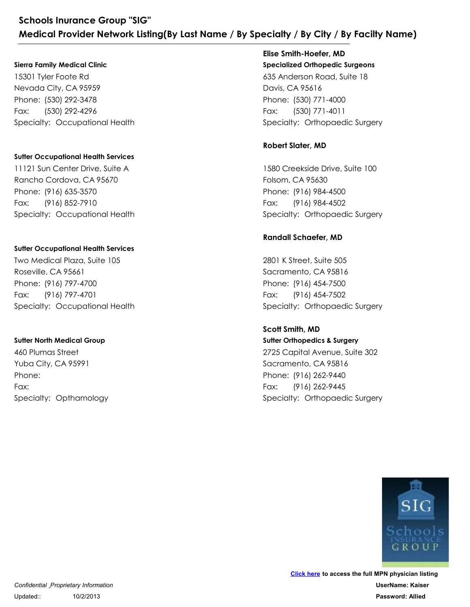#### **Sierra Family Medical Clinic**

15301 Tyler Foote Rd Nevada City, CA 95959 Schools Inurance Group "SIG"<br>
Medical Provider Network Listing(By Last Name<br>
Sierra Family Medical Clinic<br>
15301 Tyler Foote Rd<br>
Nevada City, CA 95959<br>
Phone: (530) 292-4296<br>
Fax: (530) 292-4296<br>
Specialty: Occupational He Schools Inurance Group "SIG"<br>
Medical Provider Network Listing(By<br>
Sierra Family Medical Clinic<br>
15301 Tyler Foote Rd<br>
Nevada City, CA 95959<br>
Phone: (530) 292-3478<br>
Fax: (530) 292-4296<br>
Specialty: Occupational Health Fax: (530) 292-4296 15301 Tyler Foote Rd<br>Nevada City, CA 95959<br>Phone: (530) 292-3478<br>Fax: (530) 292-4296<br>Specialty: Occupational Health<br>Sutter Occupational Health Services<br>11121 Sun Center Drive, Suite A<br>Rancho Cordova, CA 95670<br>Phone: (916)

#### **Sutter Occupational Health Services**

11121 Sun Center Drive, Suite A Rancho Cordova, CA 95670 Phone: (530) 292-3478<br>Fax: (530) 292-4296<br>Specialty: Occupational Health<br>Sutter Occupational Health Services<br>11121 Sun Center Drive, Suite A<br>Rancho Cordova, CA 95670<br>Phone: (916) 635-3570<br>Fax: (916) 852-7910<br>Specialty: Occ Fax: (916) 852-7910 11121 Sun Center Drive, Suite A<br>Rancho Cordova, CA 95670<br>Phone: (916) 635-3570<br>Fax: (916) 852-7910<br>Specialty: Occupational Health<br>Sutter Occupational Health Services<br>Two Medical Plaza, Suite 105<br>Roseville, CA 95661<br>Phone:

#### **Sutter Occupational Health Services**

Two Medical Plaza, Suite 105 Roseville, CA 95661 Phone: (916) 635-3570<br>Fax: (916) 852-7910<br>Specialty: Occupational Health<br>**Sutter Occupational Health Services**<br>Two Medical Plaza, Suite 105<br>Roseville, CA 95661<br>Phone: (916) 797-4700<br>Fax: (916) 797-4701<br>Specialty: Occupatio Fax: (916) 797-4701

#### **Sutter North Medical Group**

460 Plumas Street Yuba City, CA 95991 Phone: (916) 797-4700<br>Fax: (916) 797-4701<br>Specialty: Occupational Health<br>Specialty: Occupational Health<br>Sutter North Medical Group<br>460 Plumas Street<br>Yuba City, CA 95991<br>Phone:<br>Fax:<br>Specialty: Opthamology Phone: Fax:

# **Specialized Orthopedic Surgeons** 635 Anderson Road, Suite 18 Davis, CA 95616 Princesof Crity: Orthopael Sciences<br>
Specialized Orthopedic Surgeons<br>
Specialized Orthopedic Surgeons<br>
635 Anderson Road, Suite 18<br>
Davis, CA 95616<br>
Phone: (530) 771-4000<br>
Fax: (530) 771-4011<br>
Specialty: Orthopaedic Surger **ecialty / By City / By Facilty Name)**<br>Elise Smith-Hoefer, MD<br>Specialized Orthopedic Surgeons<br>635 Anderson Road, Suite 18<br>Davis, CA 95616<br>Phone: (530) 771-4000<br>Fax: (530) 771-4011<br>Specialty: Orthopaedic Surgery **Elise Smith-Hoefer, MD**

Fax: (530) 771-4011

#### **Robert Slater, MD**

1580 Creekside Drive, Suite 100 Folsom, CA 95630 Phone: (530) 771-4000<br>Fax: (530) 771-4011<br>Specialty: Orthopaedic Surgery<br>**Robert Slater, MD**<br>1580 Creekside Drive, Suite 100<br>Folsom, CA 95630<br>Phone: (916) 984-4500<br>Fax: (916) 984-4502<br>Specialty: Orthopaedic Surgery<br>**Randal** 635 Anderson Road, Suite 18<br>
Davis, CA 95616<br>
Phone: (530) 771-4000<br>
Fax: (530) 771-4011<br>
Specialty: Orthopaedic Surgery<br> **Robert Slater, MD**<br>
1580 Creekside Drive, Suite 100<br>
Folsom, CA 95630<br>
Phone: (916) 984-4500<br>
Fax: Fax: (916) 984-4502

#### **Randall Schaefer, MD**

2801 K Street, Suite 505 Sacramento, CA 95816 Phone: (916) 984-4500<br>Fax: (916) 984-4502<br>Specialty: Orthopaedic Surgery<br>**Randall Schaefer, MD**<br>2801 K Street, Suite 505<br>Sacramento, CA 95816<br>Phone: (916) 454-7500<br>Fax: (916) 454-7502<br>Specialty: Orthopaedic Surgery<br>Scott S 1580 Creekside Drive, Suite 100<br>Folsom, CA 95630<br>Phone: (916) 984-4500<br>Fax: (916) 984-4502<br>Specialty: Orthopaedic Surgery<br>**Randall Schaefer, MD**<br>2801 K Street, Suite 505<br>Sacramento, CA 95816<br>Phone: (916) 454-7500<br>Fax: (916 Fax: (916) 454-7502

**Sutter Orthopedics & Surgery** 2725 Capital Avenue, Suite 302 Sacramento, CA 95816 Phone: (916) 454-7500<br>Fax: (916) 454-7502<br>Specialty: Orthopaedic Surgery<br>Scott Smith, MD<br>Sutter Orthopedics & Surgery<br>2725 Capital Avenue, Suite 302<br>Sacramento, CA 95816<br>Phone: (916) 262-9440<br>Fax: (916) 262-9445<br>Specialty: 2801 K Street, Suite 505<br>
Sacramento, CA 95816<br>
Phone: (916) 454-7500<br>
Fax: (916) 454-7502<br>
Specialty: Orthopaedic Surgery<br> **Scott Smith, MD**<br> **Sutter Orthopedics & Surgery**<br>
2725 Capital Avenue, Suite 302<br>
Sacramento, CA Fax: (916) 262-9445 **Scott Smith, MD**

GROUP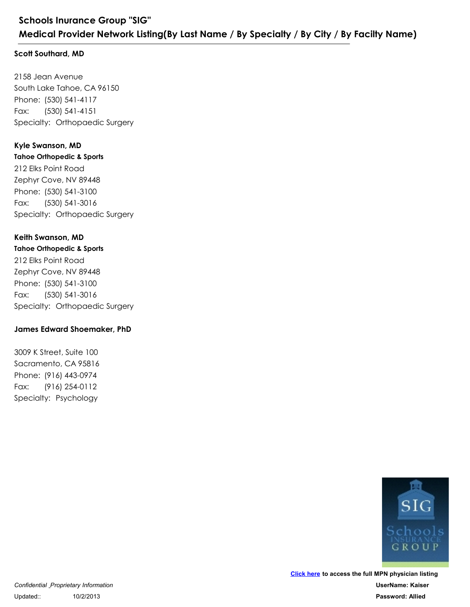#### **Scott Southard, MD**

2158 Jean Avenue South Lake Tahoe, CA 96150 Schools Inurance Group "SIG"<br>
Medical Provider Network Listing(By Last Na<br>
Scott Southard, MD<br>
2158 Jean Avenue<br>
South Lake Tahoe, CA 96150<br>
Phone: (530) 541-4117<br>
Fax: (530) 541-4151<br>
Specialty: Orthopaedic Surgery<br>
Kyle Schools Inurance Group "SIG"<br>
Medical Provider Network Listing(By<br>
Scott Southard, MD<br>
2158 Jean Avenue<br>
South Lake Tahoe, CA 96150<br>
Phone: (530) 541-4117<br>
Fax: (530) 541-4151<br>
Specialty: Orthopaedic Surgery Fax: (530) 541-4151

#### **Kyle Swanson, MD**

**Tahoe Orthopedic & Sports** 212 Elks Point Road Zephyr Cove, NV 89448 Phone: (530) 541-4117<br>Fax: (530) 541-4151<br>Specialty: Orthopaedic Surgery<br>**Kyle Swanson, MD**<br>Tahoe Orthopedic & Sports<br>212 Elks Point Road<br>Zephyr Cove, NV 89448<br>Phone: (530) 541-3100<br>Fax: (530) 541-3016<br>Specialty: Orthopaed 2158 Jean Avenue<br>South Lake Tahoe, CA 96150<br>Phone: (530) 541-4117<br>Fax: (530) 541-4151<br>Specialty: Orthopaedic Surgery<br>**Kyle Swanson, MD**<br>**Tahoe Orthopedic & Sports**<br>212 Elks Point Road<br>Zephyr Cove, NV 89448<br>Phone: (530) 541 Fax: (530) 541-3016

#### **Keith Swanson, MD**

**Tahoe Orthopedic & Sports** 212 Elks Point Road Zephyr Cove, NV 89448 Phone: (530) 541-3100<br>Fax: (530) 541-3100<br>Specialty: Orthopaedic Surgery<br>**Keith Swanson, MD**<br>**Tahoe Orthopedic & Sports**<br>212 Elks Point Road<br>Zephyr Cove, NV 89448<br>Phone: (530) 541-3100<br>Fax: (530) 541-3100<br>Specialty: Orthop 212 Elks Point Road<br>Zephyr Cove, NV 89448<br>Phone: (530) 541-3100<br>Fax: (530) 541-3116<br>Specialty: Orthopaedic Surgery<br>**Keith Swanson, MD**<br>**Tahoe Orthopedic & Sports**<br>212 Elks Point Road<br>Zephyr Cove, NV 89448<br>Phone: (530) 541-Fax: (530) 541-3016 212 Elks Point Road<br>Zephyr Cove, NV 89448<br>Phone: (530) 541-3100<br>Fax: (530) 541-3016<br>Specialty: Orthopaedic Surgery<br>**James Edward Shoemaker, PhD**<br>3009 K Street, Suite 100<br>Sacramento, CA 95816<br>Phone: (916) 443-0974<br>Fax: (916

#### **James Edward Shoemaker, PhD**

3009 K Street, Suite 100 Sacramento, CA 95816 Phone: (530) 541-3100<br>Pax: (530) 541-3100<br>Specialty: Orthopaedic Surgery<br>James Edward Shoemaker, PhD<br>3009 K Street, Suite 100<br>Sacramento, CA 95816<br>Phone: (916) 443-0974<br>Fax: (916) 254-0112<br>Specialty: Psychology Fax: (916) 254-0112

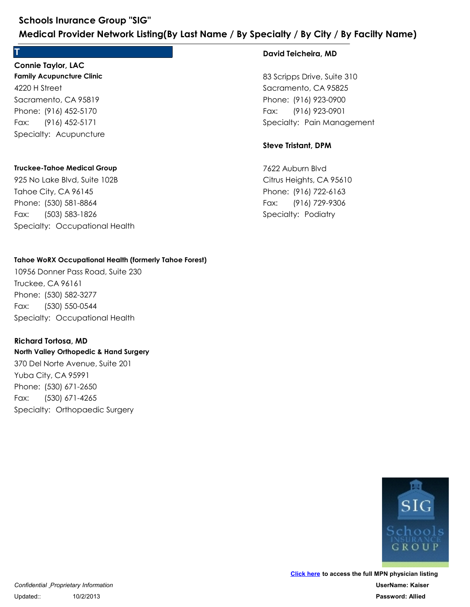## **T**

**Family Acupuncture Clinic** 4220 H Street Sacramento, CA 95819 Schools Inurance Group "SIG"<br>
Medical Provider Network Listing(By Last<br>
T<br>
Connie Taylor, LAC<br>
Family Acupuncture Clinic<br>
4220 H Street<br>
Sacramento, CA 95819<br>
Phone: (916) 452-5170<br>
Fax: (916) 452-5171<br>
Specialty: Acupunct Schools Inurance Group "SIG"<br>
Medical Provider Network Listing(By<br>
T<br>
Connie Taylor, LAC<br>
Family Acupuncture Clinic<br>
4220 H Street<br>
Sacramento, CA 95819<br>
Phone: (916) 452-5170<br>
Fax: (916) 452-5171<br>
Specialty: Acupuncture Fax: (916) 452-5171 **Connie Taylor, LAC**

#### **Truckee-Tahoe Medical Group**

925 No Lake Blvd, Suite 102B Tahoe City, CA 96145 Phone: (916) 452-5170<br>Fax: (916) 452-5171<br>Specialty: Acupuncture<br>Truckee-Tahoe Medical Group<br>925 No Lake Blvd, Suite 102B<br>Tahoe City, CA 96145<br>Phone: (530) 581-8864<br>Fax: (503) 583-1826<br>Specialty: Occupational Health 4220 H Street<br>Sacramento, CA 95819<br>Phone: (916) 452-5170<br>Fax: (916) 452-5171<br>Specialty: Acupuncture<br>Truckee-Tahoe Medical Group<br>925 No Lake Blvd, Suite 102B<br>Tahoe City, CA 96145<br>Phone: (530) 581-8864<br>Fax: (503) 583-1826<br>Sp Fax: (503) 583-1826

#### **Tahoe WoRX Occupational Health (formerly Tahoe Forest)**

10956 Donner Pass Road, Suite 230 Truckee, CA 96161 Phone: (530) 581-8864<br>Fax: (503) 581-8864<br>Specialty: Occupational Health<br>**Tahoe WoRX Occupational Health (formerly Tahoe Forest)**<br>10956 Donner Pass Road, Suite 230<br>Truckee, CA 96161<br>Phone: (530) 582-3277<br>Fax: (530) 550-054 925 No Lake Blvd, Suite 102B<br>Tahoe City, CA 96145<br>Phone: (530) 581-8864<br>Fax: (503) 583-1826<br>Specialty: Occupational Health<br>**Tahoe WoRX Occupational Health (formerly Taho**<br>10956 Donner Pass Road, Suite 230<br>Truckee, CA 96161 Fax: (530) 550-0544

#### **Richard Tortosa, MD**

**North Valley Orthopedic & Hand Surgery** 370 Del Norte Avenue, Suite 201 Yuba City, CA 95991 Phone: (530) 582-3277<br>Fax: (530) 550-0544<br>Specialty: Occupational Health<br>**Richard Tortosa, MD**<br>**Richard Tortosa, MD**<br>**North Valley Orthopedic & Hand Surgery**<br>370 Del Norte Avenue, Suite 201<br>Yuba City, CA 95991<br>Phone: (530) 10956 Donner Pass Road, Suite 230<br>Truckee, CA 96161<br>Phone: (530) 582-3277<br>Fax: (530) 550-0544<br>Specialty: Occupational Health<br>**Richard Tortosa, MD**<br>**North Valley Orthopedic & Hand Surgery**<br>370 Del Norte Avenue, Suite 201<br>Yu Fax: (530) 671-4265

#### **David Teicheira, MD**

83 Scripps Drive, Suite 310 Sacramento, CA 95825 Pair Cally / By City / By Facilty Name)<br>
David Teicheira, MD<br>
83 Scripps Drive, Suite 310<br>
Sacramento, CA 95825<br>
Phone: (916) 923-0900<br>
Fax: (916) 923-0901<br>
Specialty: Pain Management<br>
Steve Tristant, DPM **ecialty / By City / By Facilty Name)**<br>David Teicheira, MD<br>83 Scripps Drive, Suite 310<br>Sacramento, CA 95825<br>Phone: (916) 923-0900<br>Fax: (916) 923-0901<br>Specialty: Pain Management Fax: (916) 923-0901 83 Scripps Drive, Suite 310<br>Sacramento, CA 95825<br>Phone: (916) 923-0900<br>Fax: (916) 923-0901<br>Specialty: Pain Management<br>**Steve Tristant, DPM**<br>7622 Auburn Blvd<br>Citrus Heights, CA 95610<br>Phone: (916) 722-6163<br>Fax: (916) 729-930

#### **Steve Tristant, DPM**

7622 Auburn Blvd Citrus Heights, CA 95610 Phone: (916) 923-0900<br>Fax: (916) 923-0901<br>Specialty: Pain Management<br>**Steve Tristant, DPM**<br>7622 Auburn Blvd<br>Citrus Heights, CA 95610<br>Phone: (916) 722-6163<br>Fax: (916) 729-9306<br>Specialty: Podiatry Fax: (916) 729-9306

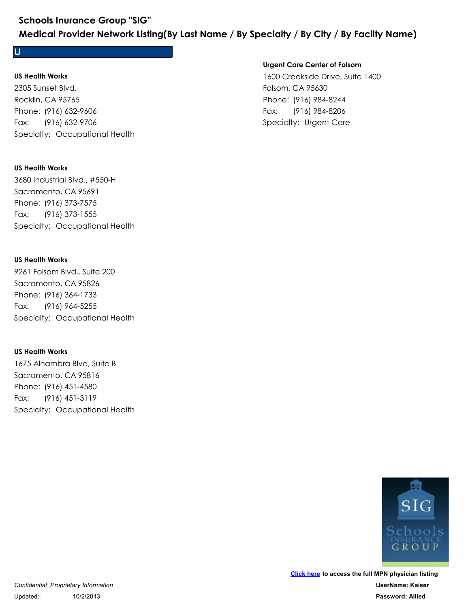**U**

#### **US Health Works**

2305 Sunset Blvd. Rocklin, CA 95765 Schools Inurance Group "SIG"<br>
Medical Provider Network Listing(By Last Name<br>
U<br>
US Health Works<br>
2305 Sunset Blvd.<br>
Rocklin, CA 95765<br>
Phone: (916) 632-9706<br>
Fax: (916) 632-9706<br>Specialty: Occupational Health Schools Inurance Group "SIG"<br>
Medical Provider Network Listing(By<br>
U<br>
US Health Works<br>
2305 Sunset Blvd.<br>
Rocklin, CA 95765<br>
Phone: (916) 632-9606<br>
Fax: (916) 632-9706<br>
Specialty: Occupational Health Fax: (916) 632-9706 2305 Sunset Blvd.<br>Rocklin, CA 95765<br>Phone: (916) 632-9606<br>Fax: (916) 632-9706<br>Specialty: Occupational Health<br>**US Health Works**<br>3680 Industrial Blvd., #550-H<br>Sacramento, CA 95691<br>Phone: (916) 373-7575<br>Fax: (916) 373-1555<br>Sp

#### **US Health Works**

3680 Industrial Blvd., #550-H Sacramento, CA 95691 Phone: (916) 632-9606<br>Fax: (916) 632-9706<br>Specialty: Occupational Health<br>US Health Works<br>3680 Industrial Blvd., #550-H<br>Sacramento, CA 95691<br>Phone: (916) 373-7575<br>Fax: (916) 373-1555<br>Specialty: Occupational Health Fax: (916) 373-1555 3680 Industrial Blvd., #550-H<br>Sacramento, CA 95691<br>Phone: (916) 373-7575<br>Fax: (916) 373-1555<br>Specialty: Occupational Health<br>US Health Works<br>9261 Folsom Blvd., Suite 200<br>Sacramento, CA 95826<br>Phone: (916) 364-1733<br>Fax: (916)

#### **US Health Works**

9261 Folsom Blvd., Suite 200 Sacramento, CA 95826 Phone: (916) 373-7575<br>Fax: (916) 373-1555<br>Specialty: Occupational Health<br>US Health Works<br>9261 Folsom Blvd., Suite 200<br>Sacramento, CA 95826<br>Phone: (916) 364-1733<br>Fax: (916) 964-5255<br>Specialty: Occupational Health Fax: (916) 964-5255 9261 Folsom Blvd., Suite 200<br>Sacramento, CA 95826<br>Phone: (916) 364-1733<br>Fax: (916) 964-5255<br>Specialty: Occupational Health<br>US Health Works<br>1675 Alhambra Blvd, Suite B<br>Sacramento, CA 95816<br>Phone: (916) 451-4580<br>Fax: (916) 4

#### **US Health Works**

1675 Alhambra Blvd, Suite B Sacramento, CA 95816 Phone: (916) 364-1733<br>Fax: (916) 964-5255<br>Specialty: Occupational Health<br>US Health Works<br>1675 Alhambra Blvd, Suite B<br>Sacramento, CA 95816<br>Phone: (916) 451-4580<br>Fax: (916) 451-3119<br>Specialty: Occupational Health Fax: (916) 451-3119

#### **Urgent Care Center of Folsom**

1600 Creekside Drive, Suite 1400 Folsom, CA 95630 Paring / By City / By Facilty Name)<br>Paring Care Center of Folsom<br>1600 Creekside Drive, Suite 1400<br>Folsom, CA 95630<br>Phone: (916) 984-8244<br>Fax: (916) 984-8206<br>Specialty: Urgent Care Prince Carlotted Mannes<br>
Prince Carlotted Mannes<br>
Urgent Care Center of Folsom<br>
1600 Creekside Drive, Suite 1400<br>
Folsom, CA 95630<br>
Phone: (916) 984-8244<br>
Fax: (916) 984-8206<br>
Specialty: Urgent Care Fax: (916) 984-8206

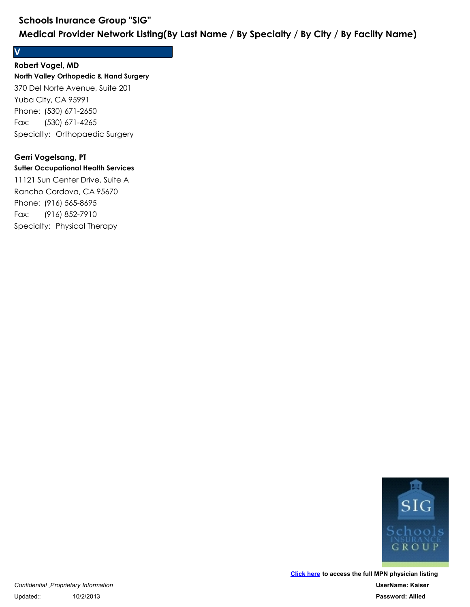### **V**

## **Robert Vogel, MD**

**North Valley Orthopedic & Hand Surgery** 370 Del Norte Avenue, Suite 201 Yuba City, CA 95991 Schools Inurance Group "SIG"<br>
Medical Provider Network Listing(By Last Na<br>
V<br>
Robert Vogel, MD<br>
North Valley Orthopedic & Hand Surgery<br>
370 Del Norte Avenue, Suite 201<br>
Yuba City, CA 95991<br>
Phone: (530) 671-2650<br>
Fax: (530 Schools Inurance Group "SIG"<br>
Medical Provider Network Listing(By<br>
V<br>
Robert Vogel, MD<br>
North Valley Orthopedic & Hand Surgery<br>
370 Del Norte Avenue, Suite 201<br>
Yuba City, CA 95991<br>
Phone: (530) 671-2650<br>
Fax: (530) 671-42 Fax: (530) 671-4265 370 Del Norte Avenue, Suite 201<br>Yuba City, CA 95991<br>Phone: (530) 671-2650<br>Fax: (530) 671-4265<br>Specialty: Orthopaedic Surgery<br>**Gerri Vogelsang, PT**<br>Suiter Occupational Health Services<br>11121 Sun Center Drive, Suite A<br>Rancho

#### **Gerri Vogelsang, PT**

#### **Sutter Occupational Health Services**

11121 Sun Center Drive, Suite A Rancho Cordova, CA 95670 Phone: (530) 671-2650<br>Fax: (530) 671-265<br>Specialty: Orthopaedic Surgery<br>**Gerri Vogelsang, PT**<br>**Surter Occupational Health Services**<br>11121 Sun Center Drive, Suite A<br>Rancho Cordova, CA 95670<br>Phone: (916) 565-8695<br>Fax: (916) Fax: (916) 852-7910

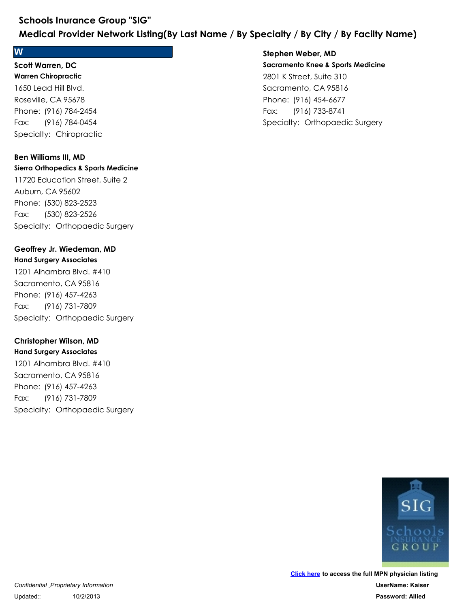#### **W**

#### **Warren Chiropractic Scott Warren, DC**

1650 Lead Hill Blvd. Roseville, CA 95678 Schools Inurance Group "SIG"<br>
Medical Provider Network Listing(By Last<br>
W<br>
Scott Warren, DC<br>
Warren Chiropractic<br>
1650 Lead Hill Blvd.<br>
Roseville, CA 95678<br>
Phone: (916) 784-2454<br>
Fax: (916) 784-0454<br>
Specialty: Chiropract Schools Inurance Group "SIG"<br>
Medical Provider Network Listing(By<br>
W<br>
Scott Warren, DC<br>
Warren Chiropractic<br>
1650 Lead Hill Blvd.<br>
Roseville, CA 95678<br>
Phone: (916) 784-2454<br>
Fax: (916) 784-0454<br>
Specialty: Chiropractic Fax: (916) 784-0454

## **Ben Williams III, MD**

**Sierra Orthopedics & Sports Medicine** 11720 Education Street, Suite 2 Auburn, CA 95602 Phone: (916) 784-2454<br>Fax: (916) 784-0454<br>Specialty: Chiropractic<br>**Ben Williams III, MD**<br>**Sierra Orthopedics & Sports Medicine**<br>11720 Education Street, Suite 2<br>Auburn, CA 95602<br>Phone: (530) 823-2523<br>Fax: (530) 823-2526<br>Spe 1650 Lead Hill Blvd.<br>
Roseville, CA 95678<br>
Phone: (916) 784-2454<br>
Fax: (916) 784-0454<br>
Specialty: Chiropractic<br> **Ben Williams III, MD**<br> **Sierra Orthopedics & Sports Medicine**<br>
11720 Education Street, Suite 2<br>
Auburn, CA 95 Fax: (530) 823-2526 Phone: (530) 823-2523<br>Fax: (530) 823-2526<br>Specialty: Orthopaedic Surgery<br>**Geoffrey Jr. Wiedeman, MD**<br>**Hand Surgery Associates**<br>1201 Alhambra Blvd. #410<br>Sacramento, CA 95816<br>Phone: (916) 457-4263<br>Fax: (916) 731-7809<br>Special 11720 Education Street, Suite 2<br>
Auburn, CA 95602<br>
Phone: (530) 823-2523<br>
Fax: (530) 823-2526<br>
Specialty: Orthopaedic Surgery<br> **Geoffrey Jr. Wiedeman, MD**<br> **Hand Surgery Associates**<br>
1201 Alhambra Blvd. #410<br>
Sacramento, C

## **Geoffrey Jr. Wiedeman, MD**

### **Hand Surgery Associates** 1201 Alhambra Blvd. #410 Sacramento, CA 95816

Fax: (916) 731-7809

## **Christopher Wilson, MD**

**Hand Surgery Associates** 1201 Alhambra Blvd. #410 Sacramento, CA 95816 Phone: (916) 457-4263<br>Fax: (916) 731-7809<br>Specialty: Orthopaedic Surgery<br>**Christopher Wilson, MD**<br>**Hand Surgery Associates**<br>1201 Alhambra Blvd. #410<br>Sacramento, CA 95816<br>Phone: (916) 457-4263<br>Fax: (916) 731-7809<br>Specialty: 1201 Alhambra Blvd. #410<br>Sacramento, CA 95816<br>Phone: (916) 457-4263<br>Fax: (916) 731-7809<br>Specialty: Orthopaedic Surgery<br>**Christopher Wilson, MD**<br>**Hand Surgery Associates**<br>1201 Alhambra Blvd. #410<br>Sacramento, CA 95816<br>Phone: Fax: (916) 731-7809

## **Sacramento Knee & Sports Medicine** 2801 K Street, Suite 310 Sacramento, CA 95816 **Ecialty / By City / By Facilty Name)**<br> **Stephen Weber, MD**<br> **Sacramento Knee & Sports Medicine**<br>
2801 K Street, Suite 310<br>
Sacramento, CA 95816<br>
Phone: (916) 454-6677<br>
Fax: (916) 733-8741<br>
Specialty: Orthopaedic Surgery **ecialty / By City / By Facilty Name)**<br>Stephen Weber, MD<br>Sacramento Knee & Sports Medicine<br>2801 K Street, Suite 310<br>Sacramento, CA 95816<br>Phone: (916) 454-6677<br>Fax: (916) 733-8741<br>Specialty: Orthopaedic Surgery Fax: (916) 733-8741 **Stephen Weber, MD**